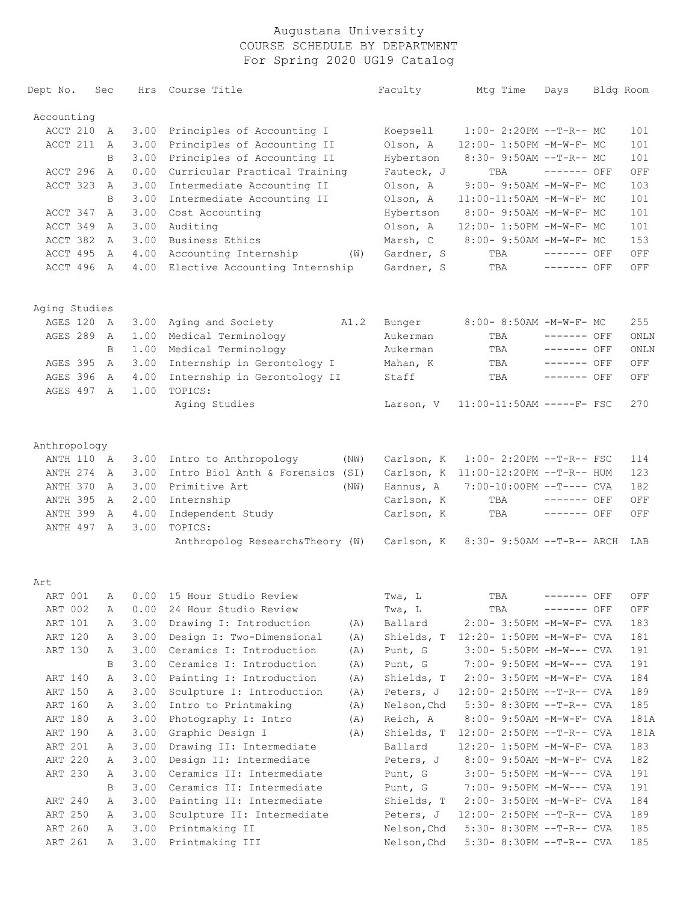| Dept No.      | Sec |      | Hrs Course Title                     | Faculty     | Mtg Time                             | Days         |           | Bldg Room |
|---------------|-----|------|--------------------------------------|-------------|--------------------------------------|--------------|-----------|-----------|
| Accounting    |     |      |                                      |             |                                      |              |           |           |
| ACCT 210      | A   | 3.00 | Principles of Accounting I           | Koepsell    | $1:00-2:20PM -T-R--MC$               |              |           | 101       |
| ACCT 211      | A   | 3.00 | Principles of Accounting II          | Olson, A    | 12:00- 1:50PM -M-W-F- MC             |              |           | 101       |
|               | B   | 3.00 | Principles of Accounting II          | Hybertson   | 8:30- 9:50AM --T-R-- MC              |              |           | 101       |
| ACCT 296      | A   | 0.00 | Curricular Practical Training        | Fauteck, J  | TBA                                  | $------$ OFF |           | OFF       |
| ACCT 323      | A   | 3.00 | Intermediate Accounting II           | Olson, A    | 9:00- 9:50AM -M-W-F- MC              |              |           | 103       |
|               | B   | 3.00 | Intermediate Accounting II           | Olson, A    | 11:00-11:50AM -M-W-F- MC             |              |           | 101       |
| ACCT 347      | A   | 3.00 | Cost Accounting                      | Hybertson   | 8:00- 9:50AM -M-W-F- MC              |              |           | 101       |
| ACCT 349      | A   | 3.00 | Auditing                             | Olson, A    | 12:00- 1:50PM -M-W-F- MC             |              |           | 101       |
| ACCT 382      | A   | 3.00 | Business Ethics                      | Marsh, C    | 8:00- 9:50AM -M-W-F- MC              |              |           | 153       |
| ACCT 495      | A   | 4.00 | Accounting Internship<br>(W)         | Gardner, S  | TBA                                  | $------$ OFF |           | OFF       |
| ACCT 496 A    |     | 4.00 | Elective Accounting Internship       | Gardner, S  | TBA                                  | $------$ OFF |           | OFF       |
| Aging Studies |     |      |                                      |             |                                      |              |           |           |
| AGES 120      | A   | 3.00 | Aging and Society<br>A1.2            | Bunger      | 8:00- 8:50AM -M-W-F- MC              |              |           | 255       |
| AGES 289      | A   | 1.00 | Medical Terminology                  | Aukerman    | TBA                                  | $------$ OFF |           | ONLN      |
|               | B   | 1.00 | Medical Terminology                  | Aukerman    | TBA                                  | $------$ OFF |           | ONLN      |
| AGES 395      | A   | 3.00 | Internship in Gerontology I          | Mahan, K    | TBA                                  | ------- OFF  |           | OFF       |
| AGES 396      | A   | 4.00 | Internship in Gerontology II         | Staff       | TBA                                  | ------- OFF  |           | OFF       |
| AGES 497 A    |     | 1.00 | TOPICS:                              |             |                                      |              |           |           |
|               |     |      | Aging Studies                        | Larson, V   | $11:00-11:50AM$ -----F- FSC          |              |           | 270       |
| Anthropology  |     |      |                                      |             |                                      |              |           |           |
| ANTH 110      | A   | 3.00 | Intro to Anthropology<br>(NW)        | Carlson, K  | $1:00-2:20PM -T-R--FSC$              |              |           | 114       |
| ANTH 274      | A   | 3.00 | Intro Biol Anth & Forensics (SI)     |             | Carlson, K 11:00-12:20PM --T-R-- HUM |              |           | 123       |
| ANTH 370      | A   | 3.00 | Primitive Art<br>(NW)                | Hannus, A   | 7:00-10:00PM --T---- CVA             |              |           | 182       |
| ANTH 395      | A   | 2.00 | Internship                           | Carlson, K  | TBA                                  | $------$ OFF |           | OFF       |
| ANTH 399      | A   | 4.00 | Independent Study                    | Carlson, K  | TBA                                  | ------- OFF  |           | OFF       |
| ANTH 497 A    |     | 3.00 | TOPICS:                              |             |                                      |              |           |           |
|               |     |      | Anthropolog Research&Theory (W)      | Carlson, K  | $8:30-9:50AM --T-R-- ARCH$           |              |           | LAB       |
| Art           |     |      |                                      |             |                                      |              |           |           |
|               |     |      | ART 001 A 0.00 15 Hour Studio Review | Twa, L      | TBA                                  |              | ----- OFF | OFF       |
| ART 002       | А   | 0.00 | 24 Hour Studio Review                | Twa, L      | TBA                                  | ------- OFF  |           | OFF       |
| ART 101       | А   | 3.00 | Drawing I: Introduction<br>(A)       | Ballard     | 2:00- 3:50PM -M-W-F- CVA             |              |           | 183       |
| ART 120       | А   | 3.00 | Design I: Two-Dimensional<br>(A)     |             | Shields, T 12:20- 1:50PM -M-W-F- CVA |              |           | 181       |
| ART 130       | А   | 3.00 | Ceramics I: Introduction<br>(A)      | Punt, G     | 3:00- 5:50PM -M-W--- CVA             |              |           | 191       |
|               | В   | 3.00 | Ceramics I: Introduction<br>(A)      | Punt, G     | 7:00- 9:50PM -M-W--- CVA             |              |           | 191       |
| ART 140       | Α   | 3.00 | Painting I: Introduction<br>(A)      | Shields, T  | 2:00- 3:50PM -M-W-F- CVA             |              |           | 184       |
| ART 150       | Α   | 3.00 | Sculpture I: Introduction<br>(A)     | Peters, J   | 12:00- 2:50PM --T-R-- CVA            |              |           | 189       |
| ART 160       | Α   | 3.00 | Intro to Printmaking<br>(A)          | Nelson, Chd | $5:30-8:30PM --T-R--CVA$             |              |           | 185       |
| ART 180       | Α   | 3.00 | Photography I: Intro<br>(A)          | Reich, A    | $8:00-9:50AM$ -M-W-F- CVA            |              |           | 181A      |
| ART 190       | Α   | 3.00 | Graphic Design I<br>(A)              |             | Shields, T 12:00- 2:50PM --T-R-- CVA |              |           | 181A      |
| ART 201       | А   | 3.00 | Drawing II: Intermediate             | Ballard     | $12:20 - 1:50PM - M - W - F - CVA$   |              |           | 183       |
| ART 220       | Α   | 3.00 | Design II: Intermediate              | Peters, J   | 8:00- 9:50AM -M-W-F- CVA             |              |           | 182       |
| ART 230       | А   | 3.00 | Ceramics II: Intermediate            | Punt, G     | 3:00- 5:50PM -M-W--- CVA             |              |           | 191       |
|               | В   | 3.00 | Ceramics II: Intermediate            | Punt, G     | 7:00- 9:50PM -M-W--- CVA             |              |           | 191       |
| ART 240       | Α   | 3.00 | Painting II: Intermediate            | Shields, T  | $2:00-3:50PM -M-W-F-CVA$             |              |           | 184       |
| ART 250       | Α   | 3.00 | Sculpture II: Intermediate           | Peters, J   | 12:00- 2:50PM --T-R-- CVA            |              |           | 189       |
| ART 260       | Α   | 3.00 | Printmaking II                       | Nelson, Chd | $5:30-8:30PM --T-R--CVA$             |              |           | 185       |
| ART 261       | А   | 3.00 | Printmaking III                      | Nelson, Chd | $5:30-8:30PM --T-R--CVA$             |              |           | 185       |
|               |     |      |                                      |             |                                      |              |           |           |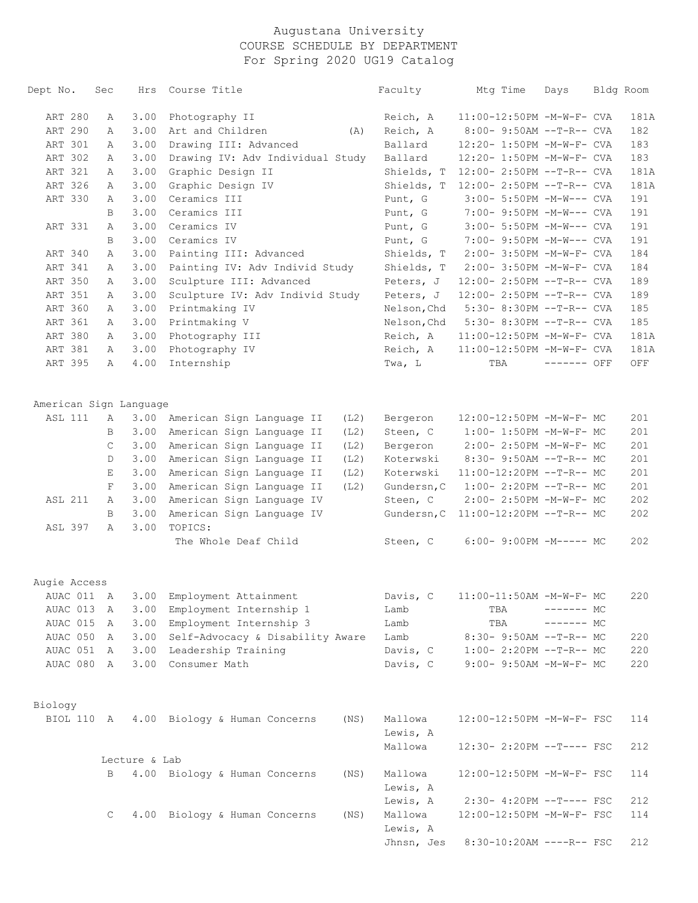| Dept No.               | Sec | Hrs           | Course Title                          | Faculty     | Mtg Time                          | Days        | Bldg Room |
|------------------------|-----|---------------|---------------------------------------|-------------|-----------------------------------|-------------|-----------|
| ART 280                | А   | 3.00          | Photography II                        | Reich, A    | 11:00-12:50PM -M-W-F- CVA         |             | 181A      |
| ART 290                | Α   | 3.00          | Art and Children<br>(A)               | Reich, A    | 8:00- 9:50AM --T-R-- CVA          |             | 182       |
| ART 301                | Α   | 3.00          | Drawing III: Advanced                 | Ballard     | 12:20- 1:50PM -M-W-F- CVA         |             | 183       |
| ART 302                | Α   | 3.00          | Drawing IV: Adv Individual Study      | Ballard     | 12:20- 1:50PM -M-W-F- CVA         |             | 183       |
| ART 321                | Α   | 3.00          | Graphic Design II                     | Shields, T  | 12:00- 2:50PM --T-R-- CVA         |             | 181A      |
| ART 326                | Α   | 3.00          | Graphic Design IV                     | Shields, T  | 12:00- 2:50PM --T-R-- CVA         |             | 181A      |
| ART 330                | Α   | 3.00          | Ceramics III                          | Punt, G     | 3:00- 5:50PM -M-W--- CVA          |             | 191       |
|                        | B   | 3.00          | Ceramics III                          | Punt, G     | 7:00- 9:50PM -M-W--- CVA          |             | 191       |
| ART 331                | Α   | 3.00          | Ceramics IV                           | Punt, G     | 3:00- 5:50PM -M-W--- CVA          |             | 191       |
|                        | B   | 3.00          | Ceramics IV                           | Punt, G     | 7:00- 9:50PM -M-W--- CVA          |             | 191       |
| ART 340                | Α   | 3.00          | Painting III: Advanced                | Shields, T  | 2:00- 3:50PM -M-W-F- CVA          |             | 184       |
| ART 341                | Α   | 3.00          | Painting IV: Adv Individ Study        | Shields, T  | 2:00- 3:50PM -M-W-F- CVA          |             | 184       |
| ART 350                | Α   | 3.00          | Sculpture III: Advanced               | Peters, J   | 12:00- 2:50PM --T-R-- CVA         |             | 189       |
| ART 351                | Α   | 3.00          | Sculpture IV: Adv Individ Study       | Peters, J   | 12:00- 2:50PM --T-R-- CVA         |             | 189       |
| ART 360                | Α   | 3.00          | Printmaking IV                        | Nelson, Chd | 5:30- 8:30PM --T-R-- CVA          |             | 185       |
| ART 361                | Α   | 3.00          | Printmaking V                         | Nelson, Chd | 5:30- 8:30PM --T-R-- CVA          |             | 185       |
| ART 380                | Α   | 3.00          | Photography III                       | Reich, A    | 11:00-12:50PM -M-W-F- CVA         |             | 181A      |
| ART 381                | Α   | 3.00          | Photography IV                        | Reich, A    | 11:00-12:50PM -M-W-F- CVA         |             | 181A      |
| ART 395                | Α   | 4.00          | Internship                            | Twa, L      | TBA                               | ------- OFF | OFF       |
| American Sign Language |     |               |                                       |             |                                   |             |           |
| <b>ASL 111</b>         | Α   | 3.00          | American Sign Language II<br>(L2)     | Bergeron    | 12:00-12:50PM -M-W-F- MC          |             | 201       |
|                        | B   | 3.00          | American Sign Language II<br>(L2)     | Steen, C    | 1:00- 1:50PM -M-W-F- MC           |             | 201       |
|                        | C   | 3.00          | American Sign Language II<br>(L2)     | Bergeron    | 2:00- 2:50PM -M-W-F- MC           |             | 201       |
|                        | D   | 3.00          | American Sign Language II<br>(L2)     | Koterwski   | 8:30- 9:50AM --T-R-- MC           |             | 201       |
|                        | Е   | 3.00          | American Sign Language II<br>(L2)     | Koterwski   | 11:00-12:20PM --T-R-- MC          |             | 201       |
|                        | F   | 3.00          | American Sign Language II<br>(L2)     | Gundersn, C | $1:00-2:20PM -T-R--MC$            |             | 201       |
| <b>ASL 211</b>         | Α   | 3.00          | American Sign Language IV             | Steen, C    | 2:00- 2:50PM -M-W-F- MC           |             | 202       |
|                        | B   | 3.00          | American Sign Language IV             | Gundersn, C | 11:00-12:20PM --T-R-- MC          |             | 202       |
| ASL 397                | Α   | 3.00          | TOPICS:                               |             |                                   |             |           |
|                        |     |               | The Whole Deaf Child                  | Steen, C    | $6:00-9:00PM -M----- MC$          |             | 202       |
| Augie Access           |     |               |                                       |             |                                   |             |           |
|                        |     |               | AUAC 011 A 3.00 Employment Attainment |             | Davis, C 11:00-11:50AM -M-W-F- MC |             | 220       |
| AUAC 013               | A   | 3.00          | Employment Internship 1               | Lamb        | TBA                               | $------MC$  |           |
| AUAC 015 A             |     | 3.00          | Employment Internship 3               | Lamb        | TBA                               | $------MC$  |           |
| AUAC 050 A             |     |               | 3.00 Self-Advocacy & Disability Aware | Lamb        | 8:30- 9:50AM --T-R-- MC           |             | 220       |
| AUAC 051 A             |     |               | 3.00 Leadership Training              | Davis, C    | $1:00-2:20PM -T-R--MC$            |             | 220       |
| AUAC 080 A             |     |               | 3.00 Consumer Math                    | Davis, C    | 9:00- 9:50AM -M-W-F- MC           |             | 220       |
| Biology                |     |               |                                       |             |                                   |             |           |
| BIOL 110 A             |     |               | 4.00 Biology & Human Concerns<br>(NS) | Mallowa     | 12:00-12:50PM -M-W-F- FSC         |             | 114       |
|                        |     |               |                                       | Lewis, A    |                                   |             |           |
|                        |     |               |                                       | Mallowa     | 12:30- 2:20PM --T---- FSC         |             | 212       |
|                        |     | Lecture & Lab |                                       |             |                                   |             |           |
|                        | В   |               | 4.00 Biology & Human Concerns<br>(NS) | Mallowa     | 12:00-12:50PM -M-W-F- FSC         |             | 114       |
|                        |     |               |                                       | Lewis, A    |                                   |             |           |
|                        |     |               |                                       | Lewis, A    | 2:30- 4:20PM --T---- FSC          |             | 212       |
|                        | C   |               | 4.00 Biology & Human Concerns<br>(NS) | Mallowa     | 12:00-12:50PM -M-W-F- FSC         |             | 114       |
|                        |     |               |                                       | Lewis, A    |                                   |             |           |
|                        |     |               |                                       | Jhnsn, Jes  | 8:30-10:20AM ----R-- FSC          |             | 212       |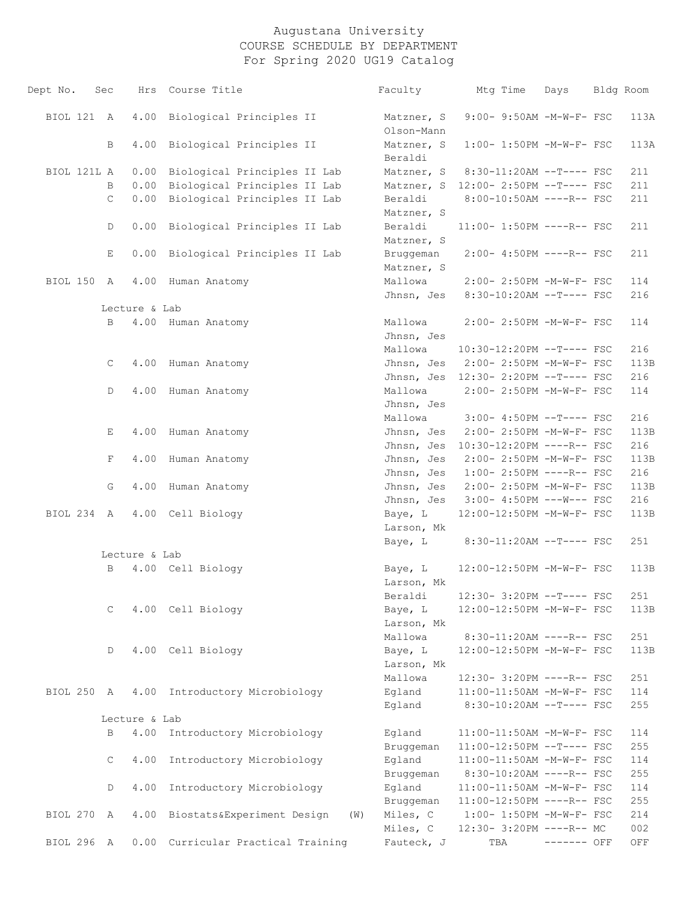| Dept No.    | Sec          |               | Hrs Course Title                          | Faculty                              | Mtg Time | Days                        | Bldg Room |
|-------------|--------------|---------------|-------------------------------------------|--------------------------------------|----------|-----------------------------|-----------|
| BIOL 121 A  |              | 4.00          | Biological Principles II                  | Matzner, S<br>Olson-Mann             |          | 9:00- 9:50AM -M-W-F- FSC    | 113A      |
|             | B            | 4.00          | Biological Principles II                  | Matzner, S<br>Beraldi                |          | 1:00- 1:50PM -M-W-F- FSC    | 113A      |
| BIOL 121L A |              | 0.00          | Biological Principles II Lab              | Matzner, S                           |          | 8:30-11:20AM --T---- FSC    | 211       |
|             | B            |               | 0.00 Biological Principles II Lab         | Matzner, S 12:00- 2:50PM --T---- FSC |          |                             | 211       |
|             | $\mathsf{C}$ |               | 0.00 Biological Principles II Lab         | Beraldi<br>Matzner, S                |          | 8:00-10:50AM ----R-- FSC    | 211       |
|             | D            | 0.00          | Biological Principles II Lab              | Beraldi<br>Matzner, S                |          | 11:00- 1:50PM ----R-- FSC   | 211       |
|             | Е            | 0.00          | Biological Principles II Lab              | Bruggeman<br>Matzner, S              |          | $2:00-4:50PM$ ----R-- FSC   | 211       |
| BIOL 150 A  |              | 4.00          | Human Anatomy                             | Mallowa                              |          | 2:00- 2:50PM -M-W-F- FSC    | 114       |
|             |              | Lecture & Lab |                                           | Jhnsn, Jes                           |          | 8:30-10:20AM --T---- FSC    | 216       |
|             | $\mathbf{B}$ |               | 4.00 Human Anatomy                        | Mallowa                              |          | 2:00- 2:50PM -M-W-F- FSC    | 114       |
|             |              |               |                                           | Jhnsn, Jes                           |          |                             |           |
|             |              |               |                                           | Mallowa                              |          | 10:30-12:20PM --T---- FSC   | 216       |
|             | $\mathsf{C}$ |               | 4.00 Human Anatomy                        | Jhnsn, Jes 2:00-2:50PM -M-W-F- FSC   |          |                             | 113B      |
|             |              |               |                                           | Jhnsn, Jes 12:30- 2:20PM --T---- FSC |          |                             | 216       |
|             | D            |               | 4.00 Human Anatomy                        | Mallowa                              |          | 2:00- 2:50PM -M-W-F- FSC    | 114       |
|             |              |               |                                           | Jhnsn, Jes                           |          |                             |           |
|             |              |               |                                           | Mallowa                              |          | 3:00- 4:50PM --T---- FSC    | 216       |
|             | Е            | 4.00          | Human Anatomy                             | Jhnsn, Jes                           |          | 2:00- 2:50PM -M-W-F- FSC    | 113B      |
|             |              |               |                                           | Jhnsn, Jes                           |          | 10:30-12:20PM ----R-- FSC   | 216       |
|             | F            | 4.00          | Human Anatomy                             | Jhnsn, Jes                           |          | 2:00- 2:50PM -M-W-F- FSC    | 113B      |
|             |              |               |                                           | Jhnsn, Jes                           |          | $1:00-2:50PM$ ----R-- FSC   | 216       |
|             | G            | 4.00          | Human Anatomy                             | Jhnsn, Jes                           |          | 2:00- 2:50PM -M-W-F- FSC    | 113B      |
|             |              |               |                                           | Jhnsn, Jes                           |          | $3:00-4:50PM$ ---W--- FSC   | 216       |
| BIOL 234 A  |              |               | 4.00 Cell Biology                         | Baye, L<br>Larson, Mk                |          | 12:00-12:50PM -M-W-F- FSC   | 113B      |
|             |              |               |                                           | Baye, L                              |          | 8:30-11:20AM --T---- FSC    | 251       |
|             |              | Lecture & Lab |                                           |                                      |          |                             |           |
|             | $\mathbf{B}$ |               | 4.00 Cell Biology                         | Baye, L<br>Larson, Mk                |          | 12:00-12:50PM -M-W-F- FSC   | 113B      |
|             |              |               |                                           | Beraldi                              |          | 12:30- 3:20PM --T---- FSC   | 251       |
|             | C            |               | 4.00 Cell Biology                         | Baye, L                              |          | 12:00-12:50PM -M-W-F- FSC   | 113B      |
|             |              |               |                                           | Larson, Mk                           |          |                             |           |
|             |              |               |                                           | Mallowa                              |          | 8:30-11:20AM ----R-- FSC    | 251       |
|             | D            |               | 4.00 Cell Biology                         | Baye, L<br>Larson, Mk                |          | 12:00-12:50PM -M-W-F- FSC   | 113B      |
|             |              |               |                                           | Mallowa                              |          | 12:30- 3:20PM ----R-- FSC   | 251       |
|             |              |               | BIOL 250 A 4.00 Introductory Microbiology | Egland                               |          | 11:00-11:50AM -M-W-F- FSC   | 114       |
|             |              | Lecture & Lab |                                           | Egland                               |          | 8:30-10:20AM --T---- FSC    | 255       |
|             | B            |               | 4.00 Introductory Microbiology            | Eqland                               |          | 11:00-11:50AM -M-W-F- FSC   | 114       |
|             |              |               |                                           | Bruggeman                            |          | 11:00-12:50PM --T---- FSC   | 255       |
|             | C            |               | 4.00 Introductory Microbiology            | Egland                               |          | 11:00-11:50AM -M-W-F- FSC   | 114       |
|             |              |               |                                           | Bruggeman                            |          | 8:30-10:20AM ----R-- FSC    | 255       |
|             | D            |               | 4.00 Introductory Microbiology            | Egland                               |          | 11:00-11:50AM -M-W-F- FSC   | 114       |
|             |              |               |                                           | Bruggeman                            |          | $11:00-12:50PM$ ----R-- FSC | 255       |
| BIOL 270 A  |              |               | 4.00 Biostats&Experiment Design<br>(W)    | Miles, C                             |          | $1:00-1:50PM -M-W-F-FSC$    | 214       |
|             |              |               |                                           | Miles, C                             |          | 12:30- 3:20PM ----R-- MC    | 002       |
| BIOL 296 A  |              |               | 0.00 Curricular Practical Training        | Fauteck, J                           | TBA      | ------- OFF                 | OFF       |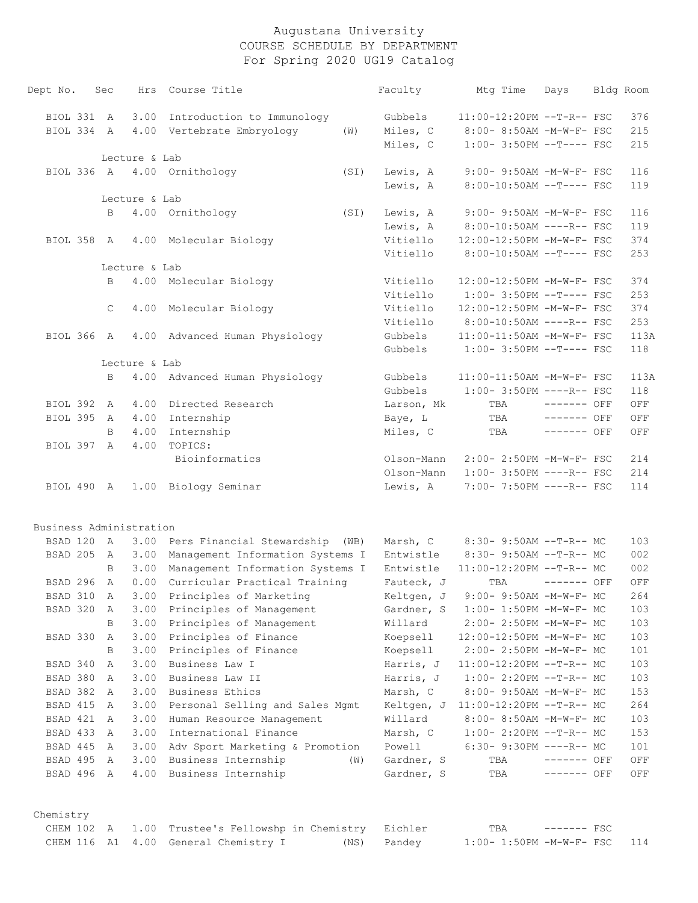| Dept No.                |                      | Sec          |               | Hrs Course Title                                |      | Faculty                  | Mtg Time                            | Days                       | Bldg Room |            |
|-------------------------|----------------------|--------------|---------------|-------------------------------------------------|------|--------------------------|-------------------------------------|----------------------------|-----------|------------|
|                         | BIOL 331 A           |              | 3.00          | Introduction to Immunology                      |      | Gubbels                  | 11:00-12:20PM --T-R-- FSC           |                            |           | 376        |
|                         | BIOL 334 A           |              | 4.00          | Vertebrate Embryology                           | (W)  | Miles, C                 | 8:00- 8:50AM -M-W-F- FSC            |                            |           | 215        |
|                         |                      |              |               |                                                 |      | Miles, C                 | $1:00-3:50PM --T---FSC$             |                            |           | 215        |
|                         |                      |              | Lecture & Lab |                                                 |      |                          |                                     |                            |           |            |
|                         |                      |              |               | BIOL 336 A 4.00 Ornithology                     | (SI) | Lewis, A                 | 9:00- 9:50AM -M-W-F- FSC            |                            |           | 116        |
|                         |                      |              |               |                                                 |      | Lewis, A                 | 8:00-10:50AM --T---- FSC            |                            |           | 119        |
|                         |                      | B            | Lecture & Lab | 4.00 Ornithology                                | (SI) | Lewis, A                 | 9:00- 9:50AM -M-W-F- FSC            |                            |           | 116        |
|                         |                      |              |               |                                                 |      | Lewis, A                 | 8:00-10:50AM ----R-- FSC            |                            |           | 119        |
|                         | BIOL 358 A           |              |               | 4.00 Molecular Biology                          |      | Vitiello                 | 12:00-12:50PM -M-W-F- FSC           |                            |           | 374        |
|                         |                      |              |               |                                                 |      | Vitiello                 | 8:00-10:50AM --T---- FSC            |                            |           | 253        |
|                         |                      |              | Lecture & Lab |                                                 |      |                          |                                     |                            |           |            |
|                         |                      | B            |               | 4.00 Molecular Biology                          |      | Vitiello                 | 12:00-12:50PM -M-W-F- FSC           |                            |           | 374        |
|                         |                      |              |               |                                                 |      | Vitiello                 | $1:00-3:50PM -T---FSC$              |                            |           | 253        |
|                         |                      | $\mathsf{C}$ | 4.00          | Molecular Biology                               |      | Vitiello                 | 12:00-12:50PM -M-W-F- FSC           |                            |           | 374        |
|                         |                      |              |               |                                                 |      | Vitiello                 | 8:00-10:50AM ----R-- FSC            |                            |           | 253        |
|                         | BIOL 366 A           |              |               | 4.00 Advanced Human Physiology                  |      | Gubbels                  | 11:00-11:50AM -M-W-F- FSC           |                            |           | 113A       |
|                         |                      |              |               |                                                 |      | Gubbels                  | $1:00-3:50PM$ --T---- FSC           |                            |           | 118        |
|                         |                      |              | Lecture & Lab |                                                 |      |                          |                                     |                            |           |            |
|                         |                      | B            |               | 4.00 Advanced Human Physiology                  |      | Gubbels                  | 11:00-11:50AM -M-W-F- FSC           |                            |           | 113A       |
|                         |                      |              |               |                                                 |      | Gubbels                  | $1:00-3:50PM$ ----R-- FSC           |                            |           | 118        |
|                         | BIOL 392             | A            | 4.00          | Directed Research                               |      | Larson, Mk               | TBA                                 | $------$ OFF               |           | OFF        |
|                         | BIOL 395             | A            | 4.00          | Internship                                      |      | Baye, L                  | TBA                                 | ------- OFF                |           | OFF        |
|                         |                      | B            | 4.00          | Internship                                      |      | Miles, C                 | TBA                                 | $------$ OFF               |           | OFF        |
|                         | BIOL 397 A           |              | 4.00          | TOPICS:                                         |      |                          |                                     |                            |           |            |
|                         |                      |              |               | Bioinformatics                                  |      | Olson-Mann               | 2:00- 2:50PM -M-W-F- FSC            |                            |           | 214        |
|                         |                      |              |               |                                                 |      | Olson-Mann               | $1:00-3:50PM$ ----R-- FSC           |                            |           | 214        |
|                         | BIOL 490 A           |              |               | 1.00 Biology Seminar                            |      | Lewis, A                 | 7:00- 7:50PM ----R-- FSC            |                            |           | 114        |
| Business Administration |                      |              |               |                                                 |      |                          |                                     |                            |           |            |
|                         |                      |              |               | BSAD 120 A 3.00 Pers Financial Stewardship (WB) |      | Marsh, C                 | 8:30- 9:50AM --T-R-- MC             |                            |           | 103        |
|                         | BSAD 205             | A            |               | 3.00 Management Information Systems I           |      | Entwistle                | $8:30-9:50AM --T-R--MC$             |                            |           | 002        |
|                         |                      | B            |               | 3.00 Management Information Systems I           |      | Entwistle                | 11:00-12:20PM --T-R-- MC            |                            |           | 002        |
|                         | BSAD 296 A           |              |               | 0.00 Curricular Practical Training              |      | Fauteck, J               | TBA                                 | $------$ OFF               |           | OFF        |
|                         |                      |              |               | BSAD 310 A 3.00 Principles of Marketing         |      | Keltgen, J               | $9:00-9:50AM -M-W-F-MC$             |                            |           | 264        |
|                         | BSAD 320             | A            | 3.00          | Principles of Management                        |      | Gardner, S               | $1:00-1:50PM -M-W-F-MC$             |                            |           | 103        |
|                         |                      | В            | 3.00          | Principles of Management                        |      | Willard                  | 2:00- 2:50PM -M-W-F- MC             |                            |           | 103        |
|                         | BSAD 330             | A            | 3.00          | Principles of Finance                           |      | Koepsell                 | 12:00-12:50PM -M-W-F- MC            |                            |           | 103        |
|                         |                      | B            | 3.00          | Principles of Finance                           |      | Koepsell                 | 2:00- 2:50PM -M-W-F- MC             |                            |           | 101        |
|                         | BSAD 340             | A            | 3.00          | Business Law I                                  |      | Harris, J                | $11:00-12:20PM$ --T-R-- MC          |                            |           | 103        |
|                         |                      | A            | 3.00          | Business Law II                                 |      | Harris, J                | $1:00-2:20PM -T-R--MC$              |                            |           | 103        |
| BSAD 380                |                      |              | 3.00          | Business Ethics                                 |      | Marsh, C                 | 8:00- 9:50AM -M-W-F- MC             |                            |           | 153        |
|                         | BSAD 382             | A            |               |                                                 |      |                          |                                     |                            |           |            |
|                         | BSAD 415             | A            | 3.00          | Personal Selling and Sales Mgmt                 |      |                          | Keltgen, J 11:00-12:20PM --T-R-- MC |                            |           | 264        |
|                         | BSAD 421             | A            | 3.00          | Human Resource Management                       |      | Willard                  | 8:00- 8:50AM -M-W-F- MC             |                            |           | 103        |
|                         | BSAD 433             | A            | 3.00          | International Finance                           |      | Marsh, C                 | $1:00-2:20PM -T-R--MC$              |                            |           | 153        |
|                         | BSAD 445             | A            | 3.00          | Adv Sport Marketing & Promotion                 |      | Powell                   | $6:30-9:30PM$ ----R-- MC            |                            |           | 101        |
|                         | BSAD 495<br>BSAD 496 | A            | 3.00          | Business Internship<br>Business Internship      | (W)  | Gardner, S<br>Gardner, S | TBA                                 | ------- OFF<br>------- OFF |           | OFF<br>OFF |

|  |  | CHEM 102 A 1.00 Trustee's Fellowshp in Chemistry Eichler |             | TBA                          | ———————— FSC |  |
|--|--|----------------------------------------------------------|-------------|------------------------------|--------------|--|
|  |  | CHEM 116 A1 4.00 General Chemistry I                     | (NS) Pandey | $1:00-1:50PM -M-W-F-FSC$ 114 |              |  |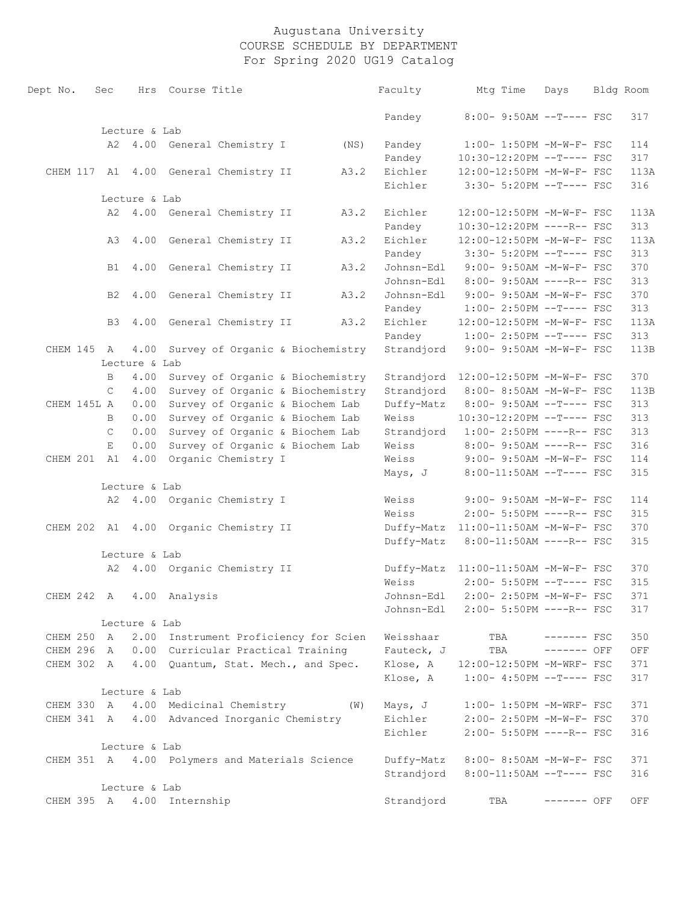| Dept No.    | Sec            |               | Hrs Course Title                               |      |      | Faculty                              |     | Mtg Time | Days                                                 | Bldg Room |
|-------------|----------------|---------------|------------------------------------------------|------|------|--------------------------------------|-----|----------|------------------------------------------------------|-----------|
|             |                |               |                                                |      |      | Pandey                               |     |          | 8:00- 9:50AM --T---- FSC                             | 317       |
|             |                | Lecture & Lab |                                                |      |      |                                      |     |          |                                                      |           |
|             |                |               | A2 4.00 General Chemistry I (NS)               |      |      | Pandey                               |     |          | 1:00- 1:50PM -M-W-F- FSC                             | 114       |
|             |                |               |                                                |      |      | Pandey                               |     |          | 10:30-12:20PM --T---- FSC                            | 317       |
|             |                |               | CHEM 117 A1 4.00 General Chemistry II          |      | A3.2 | Eichler                              |     |          | 12:00-12:50PM -M-W-F- FSC                            | 113A      |
|             |                |               |                                                |      |      | Eichler                              |     |          | 3:30- 5:20PM --T---- FSC                             | 316       |
|             |                | Lecture & Lab |                                                |      |      |                                      |     |          |                                                      |           |
|             |                |               | A2 4.00 General Chemistry II                   |      | A3.2 | Eichler                              |     |          | 12:00-12:50PM -M-W-F- FSC                            | 113A      |
|             |                |               |                                                |      |      | Pandey                               |     |          | 10:30-12:20PM ----R-- FSC                            | 313       |
|             | AЗ             |               | 4.00 General Chemistry II                      |      | A3.2 | Eichler                              |     |          | 12:00-12:50PM -M-W-F- FSC                            | 113A      |
|             |                |               |                                                |      |      | Pandey                               |     |          | 3:30- 5:20PM --T---- FSC                             | 313       |
|             | B1             |               | 4.00 General Chemistry II                      |      | A3.2 | Johnsn-Edl                           |     |          | 9:00- 9:50AM -M-W-F- FSC                             | 370       |
|             |                |               |                                                |      |      | Johnsn-Edl                           |     |          | 8:00- 9:50AM ----R-- FSC                             | 313       |
|             | B <sub>2</sub> |               | 4.00 General Chemistry II                      |      | A3.2 | Johnsn-Edl                           |     |          | 9:00- 9:50AM -M-W-F- FSC                             | 370       |
|             |                |               |                                                |      |      | Pandey                               |     |          | $1:00-2:50PM$ --T---- FSC                            | 313       |
|             | B <sub>3</sub> |               | 4.00 General Chemistry II                      | A3.2 |      | Eichler                              |     |          | 12:00-12:50PM -M-W-F- FSC                            | 113A      |
|             |                |               |                                                |      |      | Pandey                               |     |          | $1:00-2:50PM$ --T---- FSC                            | 313       |
| CHEM 145 A  |                | 4.00          | Survey of Organic & Biochemistry               |      |      | Strandjord 9:00- 9:50AM -M-W-F- FSC  |     |          |                                                      | 113B      |
|             |                | Lecture & Lab |                                                |      |      |                                      |     |          |                                                      |           |
|             | B              | 4.00          | Survey of Organic & Biochemistry               |      |      | Strandjord                           |     |          | 12:00-12:50PM -M-W-F- FSC                            | 370       |
|             | $\mathcal{C}$  | 4.00          | Survey of Organic & Biochemistry               |      |      | Strandjord                           |     |          | 8:00- 8:50AM -M-W-F- FSC                             | 113B      |
| CHEM 145L A |                | 0.00          | Survey of Organic & Biochem Lab                |      |      | Duffy-Matz                           |     |          | 8:00- 9:50AM --T---- FSC                             | 313       |
|             | B              | 0.00          | Survey of Organic & Biochem Lab                |      |      | Weiss                                |     |          | 10:30-12:20PM --T---- FSC                            | 313       |
|             | C              | 0.00          | Survey of Organic & Biochem Lab                |      |      | Strandjord                           |     |          | $1:00-2:50PM$ ----R-- FSC                            | 313       |
|             | E.             | 0.00          | Survey of Organic & Biochem Lab                |      |      | Weiss                                |     |          | 8:00- 9:50AM ----R-- FSC                             | 316       |
| CHEM 201 A1 |                | 4.00          | Organic Chemistry I                            |      |      | Weiss                                |     |          | 9:00- 9:50AM -M-W-F- FSC                             | 114       |
|             |                |               |                                                |      |      | Mays, J                              |     |          | 8:00-11:50AM --T---- FSC                             | 315       |
|             |                | Lecture & Lab |                                                |      |      |                                      |     |          |                                                      |           |
|             |                |               | A2 4.00 Organic Chemistry I                    |      |      | Weiss                                |     |          | 9:00- 9:50AM -M-W-F- FSC                             | 114       |
|             |                |               |                                                |      |      | Weiss                                |     |          | 2:00- 5:50PM ----R-- FSC                             | 315       |
|             |                |               | CHEM 202 A1 4.00 Organic Chemistry II          |      |      | Duffy-Matz 11:00-11:50AM -M-W-F- FSC |     |          |                                                      | 370       |
|             |                |               |                                                |      |      | Duffy-Matz 8:00-11:50AM ----R-- FSC  |     |          |                                                      | 315       |
|             |                | Lecture & Lab |                                                |      |      |                                      |     |          |                                                      |           |
|             |                |               | A2 4.00 Organic Chemistry II                   |      |      | Duffy-Matz 11:00-11:50AM -M-W-F- FSC |     |          |                                                      | 370       |
|             |                |               |                                                |      |      | Weiss                                |     |          | 2:00- 5:50PM --T---- FSC                             | 315       |
|             |                |               | CHEM 242 A 4.00 Analysis                       |      |      | Johnsn-Edl                           |     |          | 2:00- 2:50PM -M-W-F- FSC                             | 371       |
|             |                |               |                                                |      |      | Johnsn-Edl                           |     |          | 2:00- 5:50PM ----R-- FSC                             | 317       |
|             |                | Lecture & Lab |                                                |      |      |                                      |     |          |                                                      |           |
| CHEM 250 A  |                |               | 2.00 Instrument Proficiency for Scien          |      |      | Weisshaar                            |     | TBA      | $------$ FSC                                         | 350       |
| CHEM 296 A  |                |               | 0.00 Curricular Practical Training             |      |      | Fauteck, J                           |     | TBA      | $------$ OFF                                         | OFF       |
| CHEM 302 A  |                | 4.00          | Quantum, Stat. Mech., and Spec.                |      |      | Klose, A                             |     |          | 12:00-12:50PM -M-WRF- FSC                            | 371       |
|             |                |               |                                                |      |      | Klose, A                             |     |          | $1:00-4:50PM$ --T---- FSC                            | 317       |
|             |                | Lecture & Lab |                                                |      |      |                                      |     |          |                                                      |           |
| CHEM 330 A  |                |               | 4.00 Medicinal Chemistry                       |      | (W)  | Mays, J                              |     |          | 1:00- 1:50PM -M-WRF- FSC                             | 371       |
| CHEM 341 A  |                |               | 4.00 Advanced Inorganic Chemistry              |      |      | Eichler                              |     |          | 2:00- 2:50PM -M-W-F- FSC                             | 370       |
|             |                |               |                                                |      |      | Eichler                              |     |          | 2:00- 5:50PM ----R-- FSC                             | 316       |
|             |                | Lecture & Lab |                                                |      |      |                                      |     |          |                                                      |           |
|             |                |               | CHEM 351 A 4.00 Polymers and Materials Science |      |      | Duffy-Matz                           |     |          | 8:00- 8:50AM -M-W-F- FSC<br>8:00-11:50AM --T---- FSC | 371       |
|             |                | Lecture & Lab |                                                |      |      | Strandjord                           |     |          |                                                      | 316       |
| CHEM 395 A  |                |               | 4.00 Internship                                |      |      | Strandjord                           | TBA |          | ------- OFF                                          | OFF       |
|             |                |               |                                                |      |      |                                      |     |          |                                                      |           |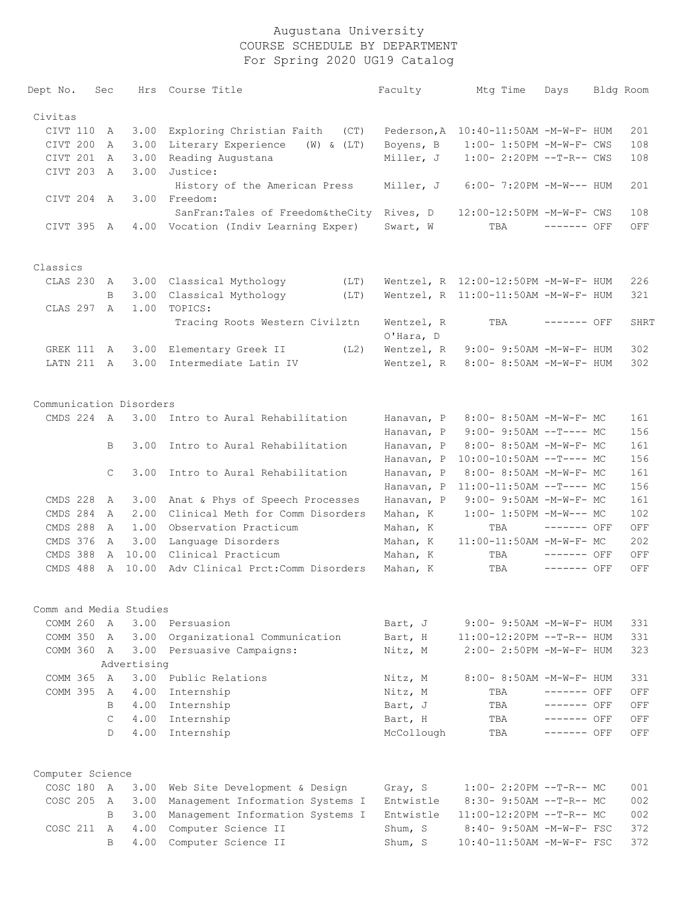| Dept No.                | Sec            | Hrs         | Course Title                               | Faculty     | Mtq Time                             | Days         | Bldg Room |
|-------------------------|----------------|-------------|--------------------------------------------|-------------|--------------------------------------|--------------|-----------|
| Civitas                 |                |             |                                            |             |                                      |              |           |
| CIVT 110                | Α              | 3.00        | Exploring Christian Faith<br>(CT)          | Pederson, A | 10:40-11:50AM -M-W-F- HUM            |              | 201       |
| CIVT 200                | Α              | 3.00        | Literary Experience<br>$(W)$ & $(LT)$      | Boyens, B   | 1:00- 1:50PM -M-W-F- CWS             |              | 108       |
| CIVT 201                | A              | 3.00        | Reading Augustana                          | Miller, J   | $1:00-2:20PM -T-R--CWS$              |              | 108       |
| CIVT 203                | A              | 3.00        | Justice:                                   |             |                                      |              |           |
|                         |                |             | History of the American Press              |             | $6:00 - 7:20PM -M-W--- HUM$          |              | 201       |
|                         |                |             | Freedom:                                   | Miller, J   |                                      |              |           |
| CIVT 204                | A              | 3.00        |                                            |             |                                      |              |           |
|                         |                |             | SanFran: Tales of Freedom&theCity Rives, D |             | 12:00-12:50PM -M-W-F- CWS            |              | 108       |
| CIVT 395                | A              |             | 4.00 Vocation (Indiv Learning Exper)       | Swart, W    | TBA                                  | $------$ OFF | OFF       |
| Classics                |                |             |                                            |             |                                      |              |           |
| CLAS 230                | A              |             | 3.00 Classical Mythology<br>(LT)           |             | Wentzel, R 12:00-12:50PM -M-W-F- HUM |              | 226       |
|                         | B              | 3.00        | Classical Mythology<br>(LT)                |             | Wentzel, R 11:00-11:50AM -M-W-F- HUM |              | 321       |
| CLAS 297                | $\mathsf{A}$   | 1.00        | TOPICS:                                    |             |                                      |              |           |
|                         |                |             | Tracing Roots Western Civilztn             | Wentzel, R  | TBA                                  | ------- OFF  | SHRT      |
|                         |                |             |                                            | O'Hara, D   |                                      |              |           |
| GREK 111                | A              | 3.00        | Elementary Greek II<br>(L2)                | Wentzel, R  | 9:00- 9:50AM -M-W-F- HUM             |              | 302       |
| LATN 211                | A              | 3.00        | Intermediate Latin IV                      | Wentzel, R  | 8:00- 8:50AM -M-W-F- HUM             |              | 302       |
|                         |                |             |                                            |             |                                      |              |           |
| Communication Disorders |                |             |                                            |             |                                      |              |           |
| CMDS 224 A              |                |             | 3.00 Intro to Aural Rehabilitation         | Hanavan, P  | 8:00- 8:50AM -M-W-F- MC              |              | 161       |
|                         |                |             |                                            | Hanavan, P  | $9:00-9:50AM --T---MC$               |              | 156       |
|                         | B              | 3.00        | Intro to Aural Rehabilitation              | Hanavan, P  | 8:00- 8:50AM -M-W-F- MC              |              | 161       |
|                         |                |             |                                            | Hanavan, P  | $10:00-10:50AM$ --T---- MC           |              | 156       |
|                         | C              | 3.00        | Intro to Aural Rehabilitation              | Hanavan, P  | 8:00- 8:50AM -M-W-F- MC              |              | 161       |
|                         |                |             |                                            | Hanavan, P  | $11:00-11:50AM$ --T---- MC           |              | 156       |
| CMDS 228                | A              | 3.00        | Anat & Phys of Speech Processes            | Hanavan, P  | 9:00- 9:50AM -M-W-F- MC              |              | 161       |
| CMDS 284                | $\mathsf{A}$   | 2.00        | Clinical Meth for Comm Disorders           | Mahan, K    | $1:00-1:50PM -M-W--- MC$             |              | 102       |
| CMDS 288                | A              | 1.00        | Observation Practicum                      | Mahan, K    | TBA                                  | $------$ OFF | OFF       |
| CMDS 376                | Α              | 3.00        | Language Disorders                         | Mahan, K    | 11:00-11:50AM -M-W-F- MC             |              | 202       |
| CMDS 388                | Α              | 10.00       | Clinical Practicum                         | Mahan, K    | TBA                                  | ------- OFF  | OFF       |
| CMDS 488                | Α              | 10.00       | Adv Clinical Prct: Comm Disorders          | Mahan, K    | TBA                                  | ------- OFF  | OFF       |
|                         |                |             |                                            |             |                                      |              |           |
| Comm and Media Studies  |                |             |                                            |             |                                      |              |           |
| COMM 260                | A              | 3.00        | Persuasion                                 | Bart, J     | $9:00 - 9:50AM - M - W - F - HUM$    |              | 331       |
| COMM 350                | A              | 3.00        | Organizational Communication               | Bart, H     | 11:00-12:20PM --T-R-- HUM            |              | 331       |
| COMM 360 A              |                | 3.00        | Persuasive Campaigns:                      | Nitz, M     | 2:00- 2:50PM -M-W-F- HUM             |              | 323       |
|                         |                | Advertising |                                            |             |                                      |              |           |
| COMM 365                | $\overline{A}$ | 3.00        | Public Relations                           | Nitz, M     | 8:00- 8:50AM -M-W-F- HUM             |              | 331       |
| COMM 395                | A              | 4.00        | Internship                                 | Nitz, M     | TBA                                  | $------$ OFF | OFF       |
|                         | B.             | 4.00        | Internship                                 | Bart, J     | TBA                                  | $------$ OFF | OFF       |
|                         | $\mathsf{C}$   | 4.00        | Internship                                 | Bart, H     | TBA                                  | $------$ OFF | OFF       |
|                         | D              | 4.00        | Internship                                 | McCollough  | TBA                                  | $------$ OFF | OFF       |
| Computer Science        |                |             |                                            |             |                                      |              |           |
| COSC 180                | A              | 3.00        | Web Site Development & Design              | Gray, S     | $1:00-2:20PM -T-R--MC$               |              | 001       |
| COSC 205                | A              | 3.00        | Management Information Systems I           | Entwistle   | 8:30- 9:50AM --T-R-- MC              |              | 002       |
|                         | B.             | 3.00        | Management Information Systems I           | Entwistle   | 11:00-12:20PM --T-R-- MC             |              | 002       |
| $COSC$ 211              | A              | 4.00        | Computer Science II                        | Shum, S     | 8:40- 9:50AM -M-W-F- FSC             |              | 372       |
|                         | B              | 4.00        |                                            |             | 10:40-11:50AM -M-W-F- FSC            |              | 372       |
|                         |                |             | Computer Science II                        | Shum, S     |                                      |              |           |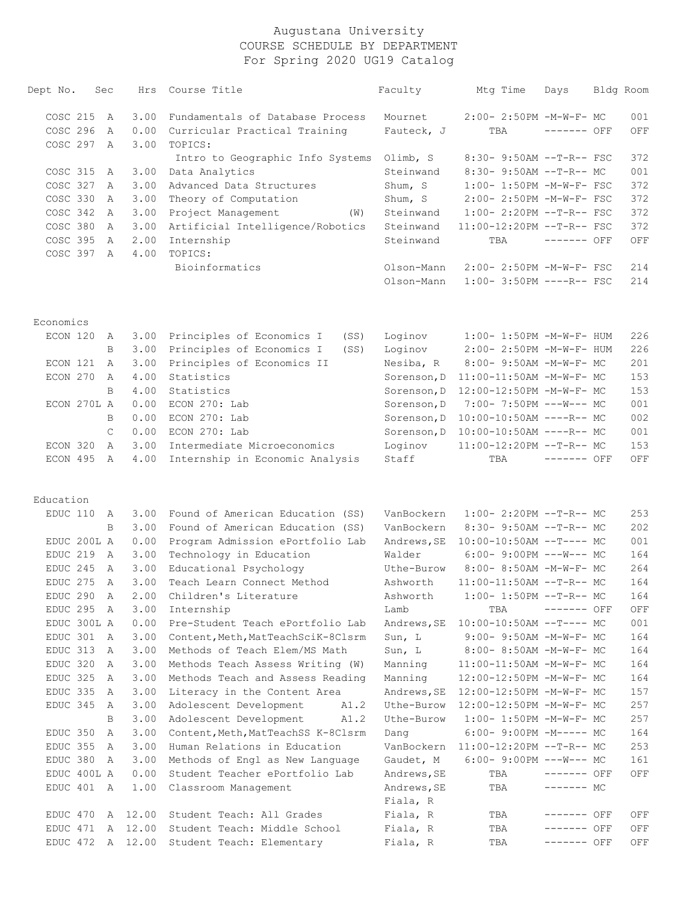| Dept No.    | Sec |               | Hrs              | Course Title                       | Faculty                  | Mtg Time                                              | Days         | Bldg Room  |
|-------------|-----|---------------|------------------|------------------------------------|--------------------------|-------------------------------------------------------|--------------|------------|
| COSC 215    |     | A             | 3.00             | Fundamentals of Database Process   | Mournet                  | 2:00- 2:50PM -M-W-F- MC                               |              | 001        |
| COSC 296    |     | $\mathbb{A}$  | 0.00             | Curricular Practical Training      | Fauteck, J               | TBA                                                   | $------$ OFF | OFF        |
| COSC 297    |     | A             | 3.00             | TOPICS:                            |                          |                                                       |              |            |
|             |     |               |                  | Intro to Geographic Info Systems   | Olimb, S                 | $8:30 - 9:50AM -T-R--FSC$                             |              | 372        |
| COSC 315    |     | A             | 3.00             | Data Analytics                     | Steinwand                | 8:30- 9:50AM --T-R-- MC                               |              | 001        |
| COSC 327    |     | A             | 3.00             | Advanced Data Structures           | Shum, S                  | 1:00- 1:50PM -M-W-F- FSC                              |              | 372        |
| COSC 330    |     | A             | 3.00             | Theory of Computation              | Shum, S                  | 2:00- 2:50PM -M-W-F- FSC                              |              | 372        |
| COSC 342    |     | A             | 3.00             | Project Management<br>(W)          | Steinwand                | 1:00- 2:20PM --T-R-- FSC                              |              | 372        |
| COSC 380    |     | A             | 3.00             | Artificial Intelligence/Robotics   | Steinwand                | 11:00-12:20PM --T-R-- FSC                             |              | 372        |
| COSC 395    |     | A             | 2.00             | Internship                         | Steinwand                | TBA                                                   | $------$ OFF | OFF        |
| COSC 397 A  |     |               | 4.00             | TOPICS:                            |                          |                                                       |              |            |
|             |     |               |                  | Bioinformatics                     | Olson-Mann<br>Olson-Mann | 2:00- 2:50PM -M-W-F- FSC<br>$1:00-3:50PM$ ----R-- FSC |              | 214<br>214 |
| Economics   |     |               |                  |                                    |                          |                                                       |              |            |
| ECON 120    |     | A             | 3.00             | Principles of Economics I<br>(SS)  | Loginov                  | $1:00-1:50PM -M-W-F- HUM$                             |              | 226        |
|             |     | B             | 3.00             | Principles of Economics I<br>(SS)  | Loginov                  | 2:00- 2:50PM -M-W-F- HUM                              |              | 226        |
| ECON 121    |     | A             | 3.00             | Principles of Economics II         | Nesiba, R                | 8:00- 9:50AM -M-W-F- MC                               |              | 201        |
| ECON 270    |     | A             | 4.00             | Statistics                         | Sorenson, D              | 11:00-11:50AM -M-W-F- MC                              |              | 153        |
|             |     | B             | 4.00             | Statistics                         | Sorenson, D              | 12:00-12:50PM -M-W-F- MC                              |              | 153        |
| ECON 270L A |     |               | 0.00             | ECON 270: Lab                      | Sorenson, D              | 7:00- 7:50PM ---W--- MC                               |              | 001        |
|             |     | B             | 0.00             | ECON 270: Lab                      | Sorenson, D              | $10:00-10:50AM$ ----R-- MC                            |              | 002        |
|             |     | $\mathcal{C}$ | 0.00             | ECON 270: Lab                      | Sorenson, D              | 10:00-10:50AM ----R-- MC                              |              | 001        |
| ECON 320    |     | $\mathbb{A}$  | 3.00             | Intermediate Microeconomics        | Loginov                  | 11:00-12:20PM --T-R-- MC                              |              | 153        |
| ECON 495    |     | A             | 4.00             | Internship in Economic Analysis    | Staff                    | TBA                                                   | ------- OFF  | OFF        |
| Education   |     |               |                  |                                    |                          |                                                       |              |            |
| EDUC 110    |     | A             | 3.00             | Found of American Education (SS)   | VanBockern               | $1:00-2:20PM --T-R--MC$                               |              | 253        |
|             |     | B             | 3.00             | Found of American Education (SS)   | VanBockern               | 8:30- 9:50AM --T-R-- MC                               |              | 202        |
| EDUC 200L A |     |               | 0.00             | Program Admission ePortfolio Lab   | Andrews, SE              | $10:00-10:50AM$ --T---- MC                            |              | 001        |
| EDUC 219    |     | A             | 3.00             | Technology in Education            | Walder                   | $6:00-9:00PM$ ---W--- MC                              |              | 164        |
| EDUC 245    |     | A             | 3.00             | Educational Psychology             | Uthe-Burow               | 8:00- 8:50AM -M-W-F- MC                               |              | 264        |
| EDUC 275    |     | A             | 3.00             | Teach Learn Connect Method         | Ashworth                 | $11:00-11:50AM$ --T-R-- MC                            |              | 164        |
| EDUC 290 A  |     |               | 2.00             | Children's Literature              | Ashworth                 | $1:00-1:50PM$ --T-R-- MC                              |              | 164        |
| EDUC 295 A  |     |               | 3.00             | Internship                         | Lamb                     | TBA                                                   | ------- OFF  | OFF        |
| EDUC 300L A |     |               | 0.00             | Pre-Student Teach ePortfolio Lab   | Andrews, SE              | $10:00-10:50AM$ --T---- MC                            |              | 001        |
| EDUC 301    |     | A             | 3.00             | Content, Meth, MatTeachSciK-8Clsrm | Sun, L                   | $9:00 - 9:50AM - M - W - F - MC$                      |              | 164        |
| EDUC 313    |     | A             | 3.00             | Methods of Teach Elem/MS Math      | Sun, L                   | 8:00- 8:50AM -M-W-F- MC                               |              | 164        |
| EDUC 320    |     | A             | 3.00             | Methods Teach Assess Writing (W)   | Manning                  | 11:00-11:50AM -M-W-F- MC                              |              | 164        |
| EDUC 325    |     | A             | 3.00             | Methods Teach and Assess Reading   | Manning                  | 12:00-12:50PM -M-W-F- MC                              |              | 164        |
| EDUC 335 A  |     |               | 3.00             | Literacy in the Content Area       | Andrews, SE              | 12:00-12:50PM -M-W-F- MC                              |              | 157        |
| EDUC 345    |     | A             | 3.00             | Adolescent Development<br>A1.2     |                          | Uthe-Burow 12:00-12:50PM -M-W-F- MC                   |              | 257        |
|             |     | B             | 3.00             | Adolescent Development<br>A1.2     | Uthe-Burow               | $1:00-1:50PM -M-W-F-MC$                               |              | 257        |
| EDUC 350    |     | A             | 3.00             | Content, Meth, MatTeachSS K-8Clsrm | Dang                     | $6:00-9:00PM -M--- MC$                                |              | 164        |
| EDUC 355    |     | A             | 3.00             | Human Relations in Education       | VanBockern               | $11:00-12:20PM$ --T-R-- MC                            |              | 253        |
| EDUC 380    |     | A             | 3.00             | Methods of Engl as New Language    | Gaudet, M                | $6:00-9:00PM$ ---W--- MC                              |              | 161        |
| EDUC 400L A |     |               | 0.00             | Student Teacher ePortfolio Lab     | Andrews, SE              | TBA                                                   | ------- OFF  | OFF        |
| EDUC 401 A  |     |               | 1.00             | Classroom Management               | Andrews, SE              | TBA                                                   | ------- MC   |            |
|             |     |               |                  |                                    | Fiala, R                 |                                                       |              |            |
| EDUC 470    |     |               | A 12.00          | Student Teach: All Grades          | Fiala, R                 | TBA                                                   | ------- OFF  | OFF        |
| EDUC 471    |     |               | A 12.00          | Student Teach: Middle School       | Fiala, R                 | TBA                                                   | ------- OFF  | OFF        |
|             |     |               | EDUC 472 A 12.00 | Student Teach: Elementary          | Fiala, R                 | TBA                                                   | ------- OFF  | OFF        |
|             |     |               |                  |                                    |                          |                                                       |              |            |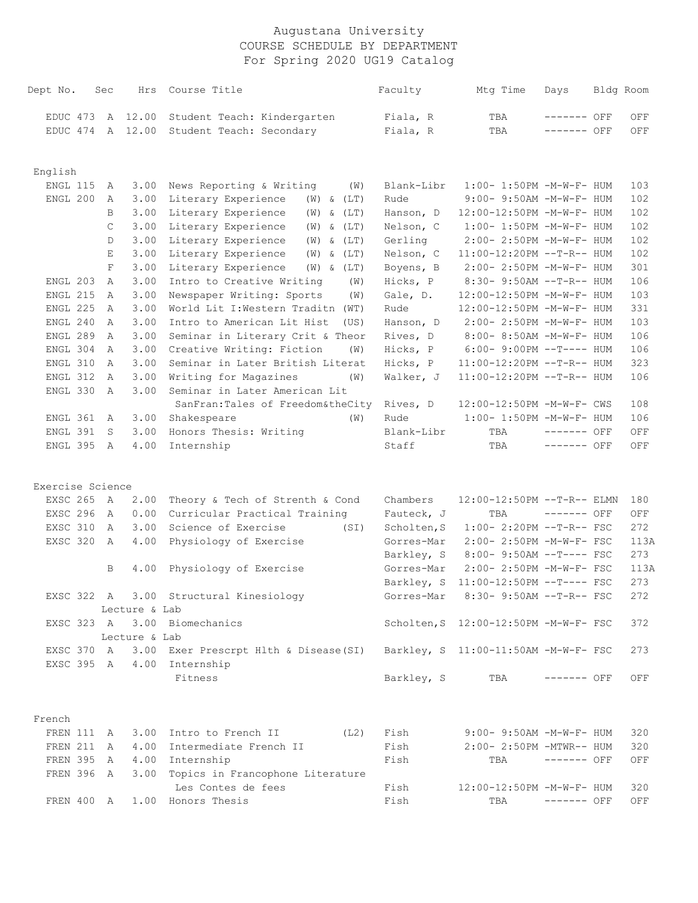| Dept No.         | Sec          | Hrs           | Course Title                                                                           | Faculty     | Mtg Time                              | Days         | Bldg Room |      |
|------------------|--------------|---------------|----------------------------------------------------------------------------------------|-------------|---------------------------------------|--------------|-----------|------|
| EDUC 473         |              | A 12.00       | Student Teach: Kindergarten                                                            | Fiala, R    | TBA                                   | ------- OFF  |           | OFF  |
| EDUC 474         |              | A 12.00       | Student Teach: Secondary                                                               | Fiala, R    | TBA                                   | ------- OFF  |           | OFF  |
|                  |              |               |                                                                                        |             |                                       |              |           |      |
| English          |              |               |                                                                                        |             |                                       |              |           |      |
| ENGL 115         | Α            | 3.00          | News Reporting & Writing<br>(W)                                                        | Blank-Libr  | 1:00- 1:50PM -M-W-F- HUM              |              |           | 103  |
| ENGL 200         | $\mathbb{A}$ | 3.00          | Literary Experience<br>$(W)$ & $(LT)$                                                  | Rude        | 9:00- 9:50AM -M-W-F- HUM              |              |           | 102  |
|                  | B            | 3.00          | Literary Experience<br>$(W)$ & $(LT)$                                                  | Hanson, D   | 12:00-12:50PM -M-W-F- HUM             |              |           | 102  |
|                  | $\mathsf C$  | 3.00          | Literary Experience<br>$(W)$ & $(LT)$                                                  | Nelson, C   | 1:00- 1:50PM -M-W-F- HUM              |              |           | 102  |
|                  | D            | 3.00          | Literary Experience<br>$(W)$ & $(LT)$                                                  | Gerling     | 2:00- 2:50PM -M-W-F- HUM              |              |           | 102  |
|                  | $\mathbf E$  | 3.00          | Literary Experience<br>$(W)$ & $(LT)$                                                  | Nelson, C   | 11:00-12:20PM --T-R-- HUM             |              |           | 102  |
|                  | $\mathbf F$  | 3.00          | Literary Experience<br>$(W)$ & $(LT)$                                                  | Boyens, B   | 2:00- 2:50PM -M-W-F- HUM              |              |           | 301  |
| ENGL 203         | A            | 3.00          | Intro to Creative Writing<br>(W)                                                       | Hicks, P    | 8:30- 9:50AM --T-R-- HUM              |              |           | 106  |
| ENGL 215         | A            | 3.00          | Newspaper Writing: Sports<br>(W)                                                       | Gale, D.    | 12:00-12:50PM -M-W-F- HUM             |              |           | 103  |
| ENGL 225         | A            | 3.00          | World Lit I: Western Traditn (WT)                                                      | Rude        | 12:00-12:50PM -M-W-F- HUM             |              |           | 331  |
| ENGL 240         | A            | 3.00          | Intro to American Lit Hist<br>(US)                                                     | Hanson, D   | 2:00- 2:50PM -M-W-F- HUM              |              |           | 103  |
| ENGL 289         | A            | 3.00          | Seminar in Literary Crit & Theor                                                       | Rives, D    | 8:00- 8:50AM -M-W-F- HUM              |              |           | 106  |
| ENGL 304         | A            | 3.00          | Creative Writing: Fiction<br>(W)                                                       | Hicks, P    | $6:00-9:00PM --T---HUM$               |              |           | 106  |
| ENGL 310         | A            | 3.00          | Seminar in Later British Literat                                                       | Hicks, P    | $11:00-12:20PM$ --T-R-- HUM           |              |           | 323  |
| ENGL 312         | A            | 3.00          | Writing for Magazines<br>(W)                                                           | Walker, J   | $11:00-12:20PM$ --T-R-- HUM           |              |           | 106  |
| ENGL 330         | A            | 3.00          | Seminar in Later American Lit                                                          |             |                                       |              |           |      |
|                  |              |               | SanFran: Tales of Freedom& the City                                                    | Rives, D    | 12:00-12:50PM -M-W-F- CWS             |              |           | 108  |
| ENGL 361         | A            | 3.00          | Shakespeare<br>(W)                                                                     | Rude        | 1:00- 1:50PM -M-W-F- HUM              |              |           | 106  |
| ENGL 391         | S            | 3.00          | Honors Thesis: Writing                                                                 | Blank-Libr  | TBA                                   | ------- OFF  |           | OFF  |
| ENGL 395         | A            | 4.00          | Internship                                                                             | Staff       | TBA                                   | ------- OFF  |           | OFF  |
|                  |              |               |                                                                                        |             |                                       |              |           |      |
| Exercise Science |              |               |                                                                                        |             |                                       |              |           |      |
| EXSC 265         | A            | 2.00          | Theory & Tech of Strenth & Cond                                                        | Chambers    | 12:00-12:50PM --T-R-- ELMN            |              |           | 180  |
| EXSC 296         | A            | 0.00          | Curricular Practical Training                                                          | Fauteck, J  | TBA                                   | $------$ OFF |           | OFF  |
| EXSC 310         | A            | 3.00          | Science of Exercise<br>(SI)                                                            | Scholten, S | 1:00- 2:20PM --T-R-- FSC              |              |           | 272  |
| EXSC 320         | A            | 4.00          | Physiology of Exercise                                                                 | Gorres-Mar  | 2:00- 2:50PM -M-W-F- FSC              |              |           | 113A |
|                  |              |               |                                                                                        | Barkley, S  | 8:00- 9:50AM --T---- FSC              |              |           | 273  |
|                  | B            | 4.00          | Physiology of Exercise                                                                 | Gorres-Mar  | 2:00- 2:50PM -M-W-F- FSC              |              |           | 113A |
|                  |              |               |                                                                                        | Barkley, S  | 11:00-12:50PM --T---- FSC             |              |           | 273  |
|                  |              |               | EXSC 322 A 3.00 Structural Kinesiology                                                 |             | Gorres-Mar 8:30-9:50AM --T-R-- FSC    |              |           | 272  |
|                  |              | Lecture & Lab |                                                                                        |             |                                       |              |           |      |
|                  |              | Lecture & Lab | EXSC 323 A 3.00 Biomechanics                                                           |             | Scholten, S 12:00-12:50PM -M-W-F- FSC |              |           | 372  |
|                  |              |               | EXSC 370 A 3.00 Exer Prescrpt Hlth & Disease (SI) Barkley, S 11:00-11:50AM -M-W-F- FSC |             |                                       |              |           | 273  |
|                  |              |               | EXSC 395 A 4.00 Internship                                                             |             |                                       |              |           |      |
|                  |              |               | Fitness                                                                                | Barkley, S  | TBA                                   | $------$ OFF |           | OFF  |
|                  |              |               |                                                                                        |             |                                       |              |           |      |
| French           |              |               |                                                                                        |             |                                       |              |           |      |
| FREN 111 A       |              |               | 3.00 Intro to French II<br>(L2)                                                        | Fish        | $9:00-9:50AM -M-W-F-HUM$              |              |           | 320  |
| FREN 211         | A            |               | 4.00 Intermediate French II                                                            | Fish        | 2:00- 2:50PM -MTWR-- HUM              |              |           | 320  |
| FREN 395 A       |              |               | 4.00 Internship                                                                        | Fish        | TBA                                   | $------$ OFF |           | OFF  |
| FREN 396 A       |              |               | 3.00 Topics in Francophone Literature                                                  |             |                                       |              |           |      |
|                  |              |               | Les Contes de fees                                                                     | Fish        | 12:00-12:50PM -M-W-F- HUM             |              |           | 320  |
| FREN 400 A       |              |               | 1.00 Honors Thesis                                                                     | Fish        | TBA                                   | $------$ OFF |           | OFF  |
|                  |              |               |                                                                                        |             |                                       |              |           |      |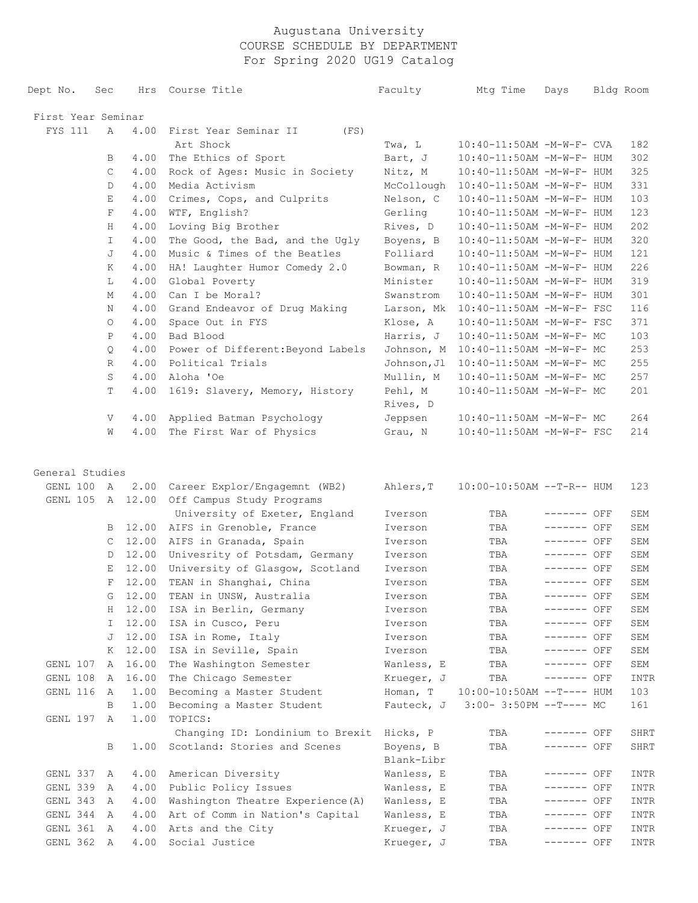| Dept No.           | Sec     |              | Hrs Course Title                     | Faculty                 | Mtg Time                    | Days        | Bldg Room   |
|--------------------|---------|--------------|--------------------------------------|-------------------------|-----------------------------|-------------|-------------|
| First Year Seminar |         |              |                                      |                         |                             |             |             |
| FYS 111            | A       | 4.00         | First Year Seminar II<br>(FS)        |                         |                             |             |             |
|                    |         |              | Art Shock                            | Twa, L                  | 10:40-11:50AM -M-W-F- CVA   |             | 182         |
|                    | В       |              | 4.00 The Ethics of Sport             | Bart, J                 | 10:40-11:50AM -M-W-F- HUM   |             | 302         |
|                    | С       |              | 4.00 Rock of Ages: Music in Society  | Nitz, M                 | 10:40-11:50AM -M-W-F- HUM   |             | 325         |
|                    | D       | 4.00         | Media Activism                       | McCollough              | 10:40-11:50AM -M-W-F- HUM   |             | 331         |
|                    | Е       | 4.00         | Crimes, Cops, and Culprits           | Nelson, C               | 10:40-11:50AM -M-W-F- HUM   |             | 103         |
|                    | F       | 4.00         | WTF, English?                        | Gerling                 | 10:40-11:50AM -M-W-F- HUM   |             | 123         |
|                    | H       | $4\,.\,0\,0$ | Loving Big Brother                   | Rives, D                | 10:40-11:50AM -M-W-F- HUM   |             | 202         |
|                    | I.      | $4\,.\,0\,0$ | The Good, the Bad, and the Ugly      | Boyens, B               | 10:40-11:50AM -M-W-F- HUM   |             | 320         |
|                    | J       | 4.00         | Music & Times of the Beatles         | Folliard                | 10:40-11:50AM -M-W-F- HUM   |             | 121         |
|                    | Κ       | 4.00         | HA! Laughter Humor Comedy 2.0        | Bowman, R               | 10:40-11:50AM -M-W-F- HUM   |             | 226         |
|                    | L       | 4.00         | Global Poverty                       | Minister                | 10:40-11:50AM -M-W-F- HUM   |             | 319         |
|                    | М       | 4.00         | Can I be Moral?                      | Swanstrom               | 10:40-11:50AM -M-W-F- HUM   |             | 301         |
|                    | Ν       | 4.00         | Grand Endeavor of Drug Making        | Larson, Mk              | 10:40-11:50AM -M-W-F- FSC   |             | 116         |
|                    | $\circ$ | 4.00         | Space Out in FYS                     | Klose, A                | 10:40-11:50AM -M-W-F- FSC   |             | 371         |
|                    | P       | 4.00         | Bad Blood                            | Harris, J               | 10:40-11:50AM -M-W-F- MC    |             | 103         |
|                    | Q       | 4.00         | Power of Different: Beyond Labels    | Johnson, M              | 10:40-11:50AM -M-W-F- MC    |             | 253         |
|                    | R       | 4.00         | Political Trials                     | Johnson, Jl             | 10:40-11:50AM -M-W-F- MC    |             | 255         |
|                    | S       | 4.00         | Aloha 'Oe                            | Mullin, M               | 10:40-11:50AM -M-W-F- MC    |             | 257         |
|                    | T       | 4.00         | 1619: Slavery, Memory, History       | Pehl, M                 | 10:40-11:50AM -M-W-F- MC    |             | 201         |
|                    |         |              |                                      | Rives, D                |                             |             |             |
|                    | V       |              | 4.00 Applied Batman Psychology       | Jeppsen                 | 10:40-11:50AM -M-W-F- MC    |             | 264         |
|                    | W       |              | 4.00 The First War of Physics        | Grau, N                 | 10:40-11:50AM -M-W-F- FSC   |             | 214         |
| General Studies    |         |              |                                      |                         |                             |             |             |
| GENL 100 A         |         |              | 2.00 Career Explor/Engagemnt (WB2)   | Ahlers, T               | $10:00-10:50AM$ --T-R-- HUM |             | 123         |
| GENL 105           |         |              | A 12.00 Off Campus Study Programs    |                         |                             |             |             |
|                    |         |              | University of Exeter, England        | Iverson                 | TBA                         | ------- OFF | SEM         |
|                    |         |              | B 12.00 AIFS in Grenoble, France     | Iverson                 | TBA                         | ------- OFF | SEM         |
|                    | C       |              | 12.00 AIFS in Granada, Spain         | Iverson                 | TBA                         | ------- OFF | SEM         |
|                    | D       |              | 12.00 Univesrity of Potsdam, Germany | Iverson                 | TBA                         | ------- OFF | SEM         |
|                    | E       | 12.00        | University of Glasgow, Scotland      | Iverson                 | TBA                         | ------- OFF | SEM         |
|                    | F       | 12.00        | TEAN in Shanghai, China              | Iverson                 | TBA                         | ------- OFF | SEM         |
|                    |         | G 12.00      | TEAN in UNSW, Australia              | Iverson                 | TBA                         | ------- OFF | ${\tt SEM}$ |
|                    | Η       | 12.00        | ISA in Berlin, Germany               | Iverson                 | TBA                         | ------- OFF | SEM         |
|                    | I.      | 12.00        | ISA in Cusco, Peru                   | Iverson                 | TBA                         | ------- OFF | SEM         |
|                    | J       | 12.00        | ISA in Rome, Italy                   | Iverson                 | TBA                         | ------- OFF | SEM         |
|                    | Κ       | 12.00        | ISA in Seville, Spain                | Iverson                 | TBA                         | ------- OFF | SEM         |
| GENL 107           | A       | 16.00        | The Washington Semester              | Wanless, E              | TBA                         | ------- OFF | SEM         |
| GENL 108           | A       | 16.00        | The Chicago Semester                 | Krueger, J              | TBA                         | ------- OFF | INTR        |
| GENL 116           | A       | 1.00         | Becoming a Master Student            | Homan, T                | $10:00-10:50AM$ --T---- HUM |             | 103         |
|                    | В       | 1.00         | Becoming a Master Student            | Fauteck, J              | $3:00-3:50PM -T--- MC$      |             | 161         |
| GENL 197           | Α       | 1.00         | TOPICS:                              |                         |                             |             |             |
|                    |         |              | Changing ID: Londinium to Brexit     | Hicks, P                | TBA                         | ------- OFF | SHRT        |
|                    | В       | 1.00         | Scotland: Stories and Scenes         | Boyens, B<br>Blank-Libr | TBA                         | ------- OFF | SHRT        |
| GENL 337           | A       | 4.00         | American Diversity                   | Wanless, E              | TBA                         | ------- OFF | INTR        |
| GENL 339           | A       | 4.00         | Public Policy Issues                 | Wanless, E              | TBA                         | ------- OFF | INTR        |
| GENL 343           | A       | 4.00         | Washington Theatre Experience (A)    | Wanless, E              | TBA                         | ------- OFF | INTR        |
| GENL 344           | A       | 4.00         | Art of Comm in Nation's Capital      | Wanless, E              | TBA                         | ------- OFF | INTR        |
| GENL 361           | A       | 4.00         | Arts and the City                    | Krueger, J              | TBA                         | ------- OFF | INTR        |
| GENL 362           | A       | 4.00         | Social Justice                       | Krueger, J              | TBA                         | ------- OFF | INTR        |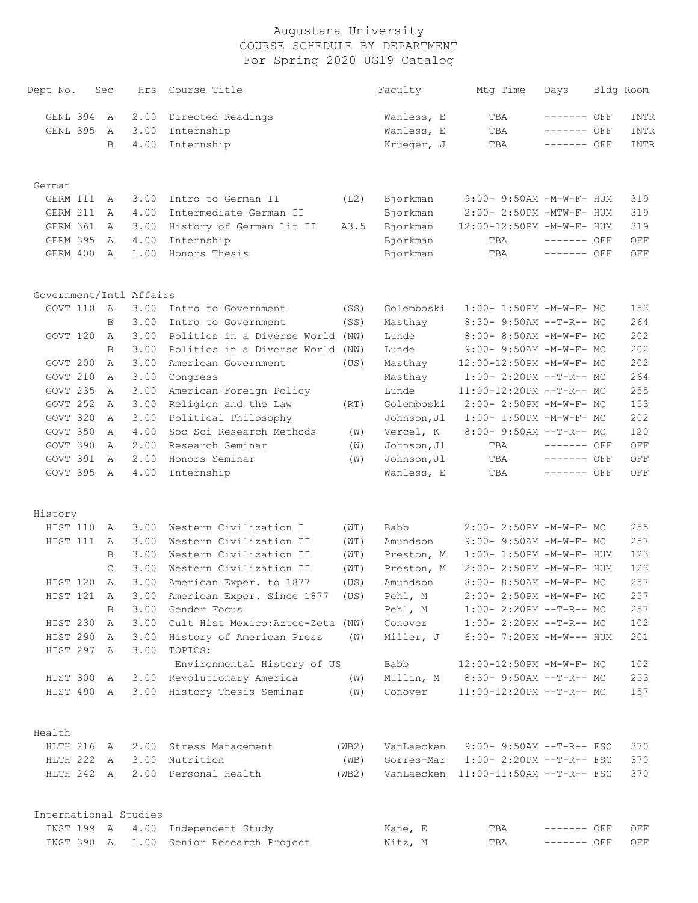| Dept No.                            | Sec           | Hrs  | Course Title                      |       | Faculty     | Mtg Time                             | Days         | Bldg Room |
|-------------------------------------|---------------|------|-----------------------------------|-------|-------------|--------------------------------------|--------------|-----------|
| GENL 394                            | A             | 2.00 | Directed Readings                 |       | Wanless, E  | TBA                                  | ------- OFF  | INTR      |
| GENL 395                            | Α             | 3.00 | Internship                        |       | Wanless, E  | TBA                                  | ------- OFF  | INTR      |
|                                     | B             | 4.00 | Internship                        |       | Krueger, J  | TBA                                  | ------- OFF  | INTR      |
| German                              |               |      |                                   |       |             |                                      |              |           |
| GERM 111                            | Α             | 3.00 | Intro to German II                | (L2)  | Bjorkman    | 9:00- 9:50AM -M-W-F- HUM             |              | 319       |
| GERM 211                            | Α             | 4.00 | Intermediate German II            |       | Bjorkman    | 2:00- 2:50PM -MTW-F- HUM             |              | 319       |
| GERM 361                            | A             | 3.00 | History of German Lit II          | A3.5  | Bjorkman    | 12:00-12:50PM -M-W-F- HUM            |              | 319       |
| GERM 395                            | Α             | 4.00 | Internship                        |       | Bjorkman    | TBA                                  | $------$ OFF | OFF       |
| GERM 400                            | $\mathbb{A}$  | 1.00 | Honors Thesis                     |       | Bjorkman    | TBA                                  | ------- OFF  | OFF       |
|                                     |               |      |                                   |       |             |                                      |              |           |
| Government/Intl Affairs<br>GOVT 110 | A             | 3.00 | Intro to Government               | (SS)  | Golemboski  | 1:00- 1:50PM -M-W-F- MC              |              | 153       |
|                                     | B             | 3.00 | Intro to Government               | (SS)  | Masthay     | 8:30- 9:50AM --T-R-- MC              |              | 264       |
| GOVT 120                            | Α             | 3.00 | Politics in a Diverse World (NW)  |       | Lunde       | 8:00- 8:50AM -M-W-F- MC              |              | 202       |
|                                     | B             | 3.00 | Politics in a Diverse World (NW)  |       | Lunde       | 9:00- 9:50AM -M-W-F- MC              |              | 202       |
| GOVT 200                            | Α             | 3.00 | American Government               | (US)  | Masthay     | 12:00-12:50PM -M-W-F- MC             |              | 202       |
| GOVT 210                            | Α             | 3.00 | Congress                          |       | Masthay     | $1:00-2:20PM -T-R--MC$               |              | 264       |
| GOVT 235                            | Α             | 3.00 | American Foreign Policy           |       | Lunde       | 11:00-12:20PM --T-R-- MC             |              | 255       |
| GOVT 252                            | Α             | 3.00 | Religion and the Law              | (RT)  | Golemboski  | 2:00- 2:50PM -M-W-F- MC              |              | 153       |
| GOVT 320                            | Α             | 3.00 | Political Philosophy              |       | Johnson, Jl | 1:00- 1:50PM -M-W-F- MC              |              | 202       |
| GOVT 350                            | Α             | 4.00 | Soc Sci Research Methods          | (W)   | Vercel, K   | $8:00-9:50AM -T-R--MC$               |              | 120       |
| GOVT 390                            | $\mathsf{A}$  | 2.00 | Research Seminar                  | (W)   | Johnson, Jl | TBA                                  | $-----$ OFF  | OFF       |
| GOVT 391                            | A             | 2.00 | Honors Seminar                    | (W)   | Johnson, Jl | TBA                                  | ------- OFF  | OFF       |
| GOVT 395                            | A             | 4.00 | Internship                        |       | Wanless, E  | TBA                                  | ------- OFF  | OFF       |
| History                             |               |      |                                   |       |             |                                      |              |           |
| HIST 110                            | А             | 3.00 | Western Civilization I            | (WT)  | Babb        | 2:00- 2:50PM -M-W-F- MC              |              | 255       |
| HIST 111                            | A             | 3.00 | Western Civilization II           | (WT)  | Amundson    | 9:00- 9:50AM -M-W-F- MC              |              | 257       |
|                                     | B             | 3.00 | Western Civilization II           | (WT)  | Preston, M  | 1:00- 1:50PM -M-W-F- HUM             |              | 123       |
|                                     | $\mathcal{C}$ | 3.00 | Western Civilization II           | (WT)  | Preston, M  | 2:00- 2:50PM -M-W-F- HUM             |              | 123       |
| HIST 120                            | Α             | 3.00 | American Exper. to 1877           | (US)  | Amundson    | 8:00- 8:50AM -M-W-F- MC              |              | 257       |
| HIST 121                            | A             | 3.00 | American Exper. Since 1877 (US)   |       | Pehl, M     | 2:00- 2:50PM -M-W-F- MC              |              | 257       |
|                                     | B             | 3.00 | Gender Focus                      |       | Pehl, M     | 1:00- 2:20PM --T-R-- MC              |              | 257       |
| HIST 230                            | A             | 3.00 | Cult Hist Mexico: Aztec-Zeta (NW) |       | Conover     | $1:00-2:20PM --T-R--MC$              |              | 102       |
| HIST 290                            | A             | 3.00 | History of American Press         | (W)   | Miller, J   | 6:00- 7:20PM -M-W--- HUM             |              | 201       |
| HIST 297 A                          |               | 3.00 | TOPICS:                           |       |             |                                      |              |           |
|                                     |               |      | Environmental History of US       |       | Babb        | 12:00-12:50PM -M-W-F- MC             |              | 102       |
| HIST 300                            | A             | 3.00 | Revolutionary America             | (W)   | Mullin, M   | 8:30- 9:50AM --T-R-- MC              |              | 253       |
| HIST 490 A                          |               | 3.00 | History Thesis Seminar            | (W)   | Conover     | 11:00-12:20PM --T-R-- MC             |              | 157       |
| Health                              |               |      |                                   |       |             |                                      |              |           |
| HLTH 216                            | A             | 2.00 | Stress Management                 | (WB2) | VanLaecken  | $9:00-9:50AM --T-R--FSC$             |              | 370       |
| HLTH 222 A                          |               | 3.00 | Nutrition                         | (WB)  | Gorres-Mar  | $1:00-2:20PM -T-R--FSC$              |              | 370       |
| HLTH 242 A                          |               | 2.00 | Personal Health                   | (WB2) |             | VanLaecken 11:00-11:50AM --T-R-- FSC |              | 370       |
| International Studies               |               |      |                                   |       |             |                                      |              |           |
| INST 199 A                          |               | 4.00 | Independent Study                 |       | Kane, E     | TBA                                  | ------- OFF  | OFF       |

INST 390 A 1.00 Senior Research Project Nitz, M TBA ------- OFF OFF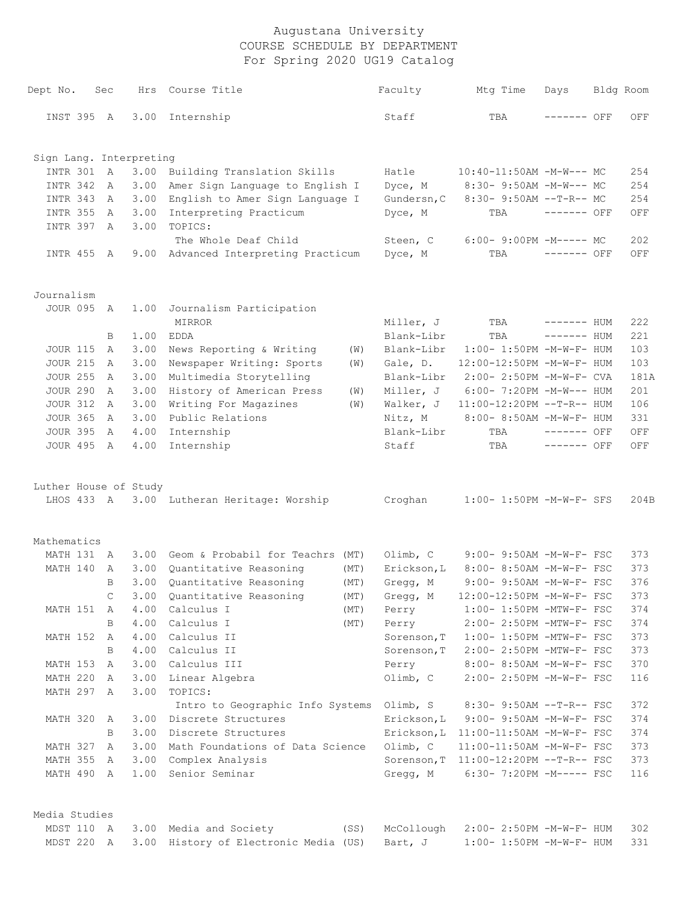| Dept No.                | Sec            | Hrs  | Course Title                               |      | Faculty     | Mtg Time                              | Days         | Bldg Room |
|-------------------------|----------------|------|--------------------------------------------|------|-------------|---------------------------------------|--------------|-----------|
| INST 395 A              |                | 3.00 | Internship                                 |      | Staff       | TBA                                   | ------- OFF  | OFF       |
| Sign Lang. Interpreting |                |      |                                            |      |             |                                       |              |           |
| INTR 301                | $\overline{A}$ | 3.00 | Building Translation Skills                |      | Hatle       | $10:40-11:50AM$ -M-W--- MC            |              | 254       |
| INTR 342                | A              | 3.00 | Amer Sign Language to English I            |      | Dyce, M     | 8:30- 9:50AM -M-W--- MC               |              | 254       |
| INTR 343                | A              | 3.00 | English to Amer Sign Language I            |      | Gundersn, C | $8:30 - 9:50AM -T-R-- MC$             |              | 254       |
| <b>INTR 355</b>         | A              | 3.00 | Interpreting Practicum                     |      | Dyce, M     | TBA                                   | ------- OFF  | OFF       |
| INTR 397                | A              | 3.00 | TOPICS:                                    |      |             |                                       |              |           |
|                         |                |      | The Whole Deaf Child                       |      | Steen, C    | $6:00-9:00PM -M----- MC$              |              | 202       |
| INTR 455 A              |                |      | 9.00 Advanced Interpreting Practicum       |      | Dyce, M     | TBA                                   | $------$ OFF | OFF       |
| Journalism              |                |      |                                            |      |             |                                       |              |           |
| JOUR 095 A              |                | 1.00 | Journalism Participation                   |      |             |                                       |              |           |
|                         |                |      | <b>MIRROR</b>                              |      | Miller, J   | TBA                                   | ------- HUM  | 222       |
|                         | B              | 1.00 | <b>EDDA</b>                                |      | Blank-Libr  | TBA                                   | ------- HUM  | 221       |
| <b>JOUR 115</b>         | A              | 3.00 | News Reporting & Writing                   | (W)  | Blank-Libr  | 1:00- 1:50PM -M-W-F- HUM              |              | 103       |
| <b>JOUR 215</b>         | A              | 3.00 | Newspaper Writing: Sports                  | (W)  | Gale, D.    | 12:00-12:50PM -M-W-F- HUM             |              | 103       |
| <b>JOUR 255</b>         | A              | 3.00 | Multimedia Storytelling                    |      | Blank-Libr  | 2:00- 2:50PM -M-W-F- CVA              |              | 181A      |
| <b>JOUR 290</b>         | A              | 3.00 | History of American Press                  | (W)  | Miller, J   | $6:00-7:20PM -M-W--- HUM$             |              | 201       |
| <b>JOUR 312</b>         | A              | 3.00 | Writing For Magazines                      | (W)  | Walker, J   | 11:00-12:20PM --T-R-- HUM             |              | 106       |
| <b>JOUR 365</b>         | A              | 3.00 | Public Relations                           |      | Nitz, M     | 8:00- 8:50AM -M-W-F- HUM              |              | 331       |
| <b>JOUR 395</b>         | A              | 4.00 | Internship                                 |      | Blank-Libr  | TBA                                   | ------- OFF  | OFF       |
| <b>JOUR 495</b>         | A              | 4.00 | Internship                                 |      | Staff       | TBA                                   | $------$ OFF | OFF       |
| Luther House of Study   |                |      |                                            |      |             |                                       |              |           |
|                         |                |      | LHOS 433 A 3.00 Lutheran Heritage: Worship |      | Croghan     | 1:00- 1:50PM -M-W-F- SFS              |              | 204B      |
|                         |                |      |                                            |      |             |                                       |              |           |
| Mathematics             |                |      |                                            |      |             |                                       |              |           |
| MATH 131 A              |                |      | 3.00 Geom & Probabil for Teachrs (MT)      |      | Olimb, C    | 9:00- 9:50AM -M-W-F- FSC              |              | 373       |
| MATH 140                | $\mathbb{A}$   |      | 3.00 Quantitative Reasoning                | (MT) | Erickson, L | 8:00- 8:50AM -M-W-F- FSC              |              | 373       |
|                         | B              | 3.00 | Quantitative Reasoning                     | (MT) | Gregg, M    | 9:00- 9:50AM -M-W-F- FSC              |              | 376       |
|                         | $\mathsf{C}$   |      | 3.00 Quantitative Reasoning                | (MT) | Gregg, M    | 12:00-12:50PM -M-W-F- FSC             |              | 373       |
| MATH 151 A              |                | 4.00 | Calculus I                                 | (MT) | Perry       | $1:00-1:50PM -MTW-F-FSC$              |              | 374       |
|                         | В              |      | 4.00 Calculus I                            | (MT) | Perry       | 2:00- 2:50PM -MTW-F- FSC              |              | 374       |
| MATH 152 A              |                |      | 4.00 Calculus II                           |      | Sorenson, T | $1:00-1:50PM$ -MTW-F- FSC             |              | 373       |
|                         | B              |      | 4.00 Calculus II                           |      | Sorenson, T | 2:00- 2:50PM -MTW-F- FSC              |              | 373       |
| MATH 153                | A              |      | 3.00 Calculus III                          |      | Perry       | $8:00-8:50AM$ -M-W-F- FSC             |              | 370       |
| MATH 220                | A              | 3.00 | Linear Algebra                             |      | Olimb, C    | 2:00- 2:50PM -M-W-F- FSC              |              | 116       |
| MATH 297 A              |                | 3.00 | TOPICS:                                    |      |             |                                       |              |           |
|                         |                |      | Intro to Geographic Info Systems Olimb, S  |      |             | 8:30- 9:50AM --T-R-- FSC              |              | 372       |
| MATH 320                | A              |      | 3.00 Discrete Structures                   |      | Erickson, L | 9:00- 9:50AM -M-W-F- FSC              |              | 374       |
|                         | B              | 3.00 | Discrete Structures                        |      |             | Erickson, L 11:00-11:50AM -M-W-F- FSC |              | 374       |
| MATH 327                | A              |      | 3.00 Math Foundations of Data Science      |      | Olimb, C    | 11:00-11:50AM -M-W-F- FSC             |              | 373       |
| MATH 355                | A              |      | 3.00 Complex Analysis                      |      |             | Sorenson, T 11:00-12:20PM --T-R-- FSC |              | 373       |
| MATH 490 A              |                |      | 1.00 Senior Seminar                        |      |             | Gregg, M 6:30-7:20PM -M----- FSC      |              | 116       |
| Media Studies           |                |      |                                            |      |             |                                       |              |           |
| MDST 110 A              |                |      | 3.00 Media and Society                     | (SS) | McCollough  | 2:00- 2:50PM -M-W-F- HUM              |              | 302       |
| MDST 220 A              |                |      | 3.00 History of Electronic Media (US)      |      | Bart, J     | $1:00 - 1:50PM - M - W - F - HUM$     |              | 331       |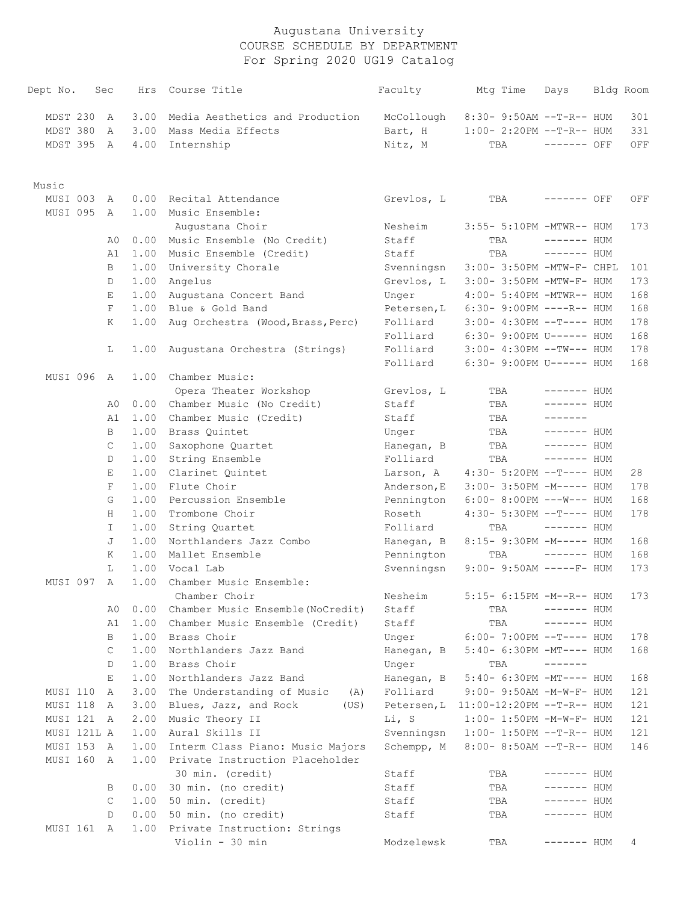| Dept No.    | Sec    | Hrs          | Course Title                              | Faculty                  | Mtg Time                                          | Days                       | Bldg Room |
|-------------|--------|--------------|-------------------------------------------|--------------------------|---------------------------------------------------|----------------------------|-----------|
| MDST 230    | A      | 3.00         | Media Aesthetics and Production           | McCollough               | 8:30- 9:50AM --T-R-- HUM                          |                            | 301       |
| MDST 380    | A      | 3.00         | Mass Media Effects                        | Bart, H                  | $1:00-2:20PM -T-R--HUM$                           |                            | 331       |
| MDST 395 A  |        | 4.00         | Internship                                | Nitz, M                  | TBA                                               | $------$ OFF               | OFF       |
| Music       |        |              |                                           |                          |                                                   |                            |           |
| MUSI 003    | A      | 0.00         | Recital Attendance                        | Grevlos, L               | TBA                                               | ------- OFF                | OFF       |
| MUSI 095    | A      | 1.00         | Music Ensemble:                           |                          |                                                   |                            |           |
|             |        |              | Augustana Choir                           | Nesheim                  | 3:55- 5:10PM -MTWR-- HUM                          |                            | 173       |
|             | A0     | 0.00         | Music Ensemble (No Credit)                | Staff                    | TBA                                               | ------- HUM                |           |
|             | A1     |              | 1.00 Music Ensemble (Credit)              | Staff                    | TBA                                               | ------- HUM                |           |
|             | B      | 1.00         | University Chorale                        | Svenningsn               | 3:00- 3:50PM -MTW-F- CHPL                         |                            | 101       |
|             | D      | 1.00         | Angelus                                   | Grevlos, L               | 3:00- 3:50PM -MTW-F- HUM                          |                            | 173       |
|             | Е      | 1.00         | Augustana Concert Band                    | Unger                    | 4:00- 5:40PM -MTWR-- HUM                          |                            | 168       |
|             | F      | 1.00         | Blue & Gold Band                          | Petersen, L              | $6:30-9:00PM$ ----R-- HUM                         |                            | 168       |
|             | K      | 1.00         | Aug Orchestra (Wood, Brass, Perc)         | Folliard                 | $3:00-4:30PM --T--- HUM$                          |                            | 178       |
|             |        |              |                                           | Folliard                 | $6:30 - 9:00 \text{PM U} \rightarrow - - - -$ HUM |                            | 168       |
|             | L      | 1.00         | Augustana Orchestra (Strings)             | Folliard                 | $3:00-4:30PM --TW---HUM$                          |                            | 178       |
|             |        |              |                                           | Folliard                 | 6:30- 9:00PM U------ HUM                          |                            | 168       |
| MUSI 096    | A      | 1.00         | Chamber Music:                            |                          |                                                   |                            |           |
|             |        |              | Opera Theater Workshop                    | Grevlos, L               | TBA                                               | ------- HUM                |           |
|             | A0     |              | 0.00 Chamber Music (No Credit)            | Staff                    | TBA                                               | ------- HUM                |           |
|             | A1     | 1.00         | Chamber Music (Credit)                    | Staff                    | TBA                                               | -------                    |           |
|             | B      | 1.00         | Brass Quintet                             | Unger                    | TBA                                               | ------- HUM                |           |
|             | C      | 1.00         | Saxophone Quartet                         | Hanegan, B               | TBA                                               | $------$ HUM               |           |
|             | D      | 1.00         | String Ensemble                           | Folliard                 | TBA                                               | ------- HUM                |           |
|             | Е      | 1.00         | Clarinet Quintet                          | Larson, A                | $4:30 - 5:20PM -T--- HUM$                         |                            | 28        |
|             | F      | 1.00         | Flute Choir                               | Anderson, E              | 3:00- 3:50PM -M----- HUM                          |                            | 178       |
|             | G      | 1.00         | Percussion Ensemble                       | Pennington               | $6:00-8:00PM$ ---W--- HUM                         |                            | 168       |
|             | H      | 1.00         | Trombone Choir                            | Roseth                   | $4:30 - 5:30PM -T--- HUM$                         |                            | 178       |
|             | I.     | 1.00         | String Quartet<br>Northlanders Jazz Combo | Folliard                 | TBA                                               | $------$ HUM               |           |
|             | J      | 1.00         |                                           | Hanegan, B               | 8:15- 9:30PM -M----- HUM                          |                            | 168       |
|             | Κ<br>L | 1.00<br>1.00 | Mallet Ensemble<br>Vocal Lab              | Pennington<br>Svenningsn | TBA<br>$9:00-9:50AM$ -----F- HUM                  | $------$ HUM               | 168       |
| MUSI 097    | A      | 1.00         | Chamber Music Ensemble:                   |                          |                                                   |                            | 173       |
|             |        |              | Chamber Choir                             | Nesheim                  | 5:15- 6:15PM -M--R-- HUM                          |                            | 173       |
|             | A0     | 0.00         | Chamber Music Ensemble (NoCredit)         | Staff                    | TBA                                               | $------$ HUM               |           |
|             | A1     | 1.00         | Chamber Music Ensemble (Credit)           | Staff                    | TBA                                               | $------$ HUM               |           |
|             | В      | 1.00         | Brass Choir                               | Unger                    | $6:00-7:00PM -T--- HUM$                           |                            | 178       |
|             | С      | 1.00         | Northlanders Jazz Band                    | Hanegan, B               | $5:40-6:30PM -MT--- HUM$                          |                            | 168       |
|             | D      | 1.00         | Brass Choir                               | Unger                    | TBA                                               | -------                    |           |
|             | Ε      | 1.00         | Northlanders Jazz Band                    | Hanegan, B               | 5:40- 6:30PM -MT---- HUM                          |                            | 168       |
| MUSI 110    | A      | 3.00         | The Understanding of Music<br>(A)         | Folliard                 | $9:00 - 9:50AM - M - W - F - HUM$                 |                            | 121       |
| MUSI 118    | A      | 3.00         | Blues, Jazz, and Rock<br>(US)             | Petersen, L              | $11:00-12:20PM$ --T-R-- HUM                       |                            | 121       |
| MUSI 121 A  |        | 2.00         | Music Theory II                           | Li, S                    | $1:00-1:50PM -M-W-F-HUM$                          |                            | 121       |
| MUSI 121L A |        | 1.00         | Aural Skills II                           | Svenningsn               | $1:00-1:50PM -T-R--HUM$                           |                            | 121       |
| MUSI 153    | A      | 1.00         | Interm Class Piano: Music Majors          | Schempp, M               | $8:00-8:50AM$ --T-R-- HUM                         |                            | 146       |
| MUSI 160    | A      | 1.00         | Private Instruction Placeholder           |                          |                                                   |                            |           |
|             | B      | 0.00         | 30 min. (credit)<br>30 min. (no credit)   | Staff<br>Staff           | TBA<br>TBA                                        | ------- HUM<br>------- HUM |           |
|             | C      | 1.00         | 50 min. (credit)                          | Staff                    | TBA                                               | ------- HUM                |           |
|             | D      | 0.00         | 50 min. (no credit)                       | Staff                    | TBA                                               | ------- HUM                |           |
| MUSI 161 A  |        | 1.00         | Private Instruction: Strings              |                          |                                                   |                            |           |
|             |        |              | Violin - 30 min                           | Modzelewsk               | TBA                                               | ------- HUM                | 4         |
|             |        |              |                                           |                          |                                                   |                            |           |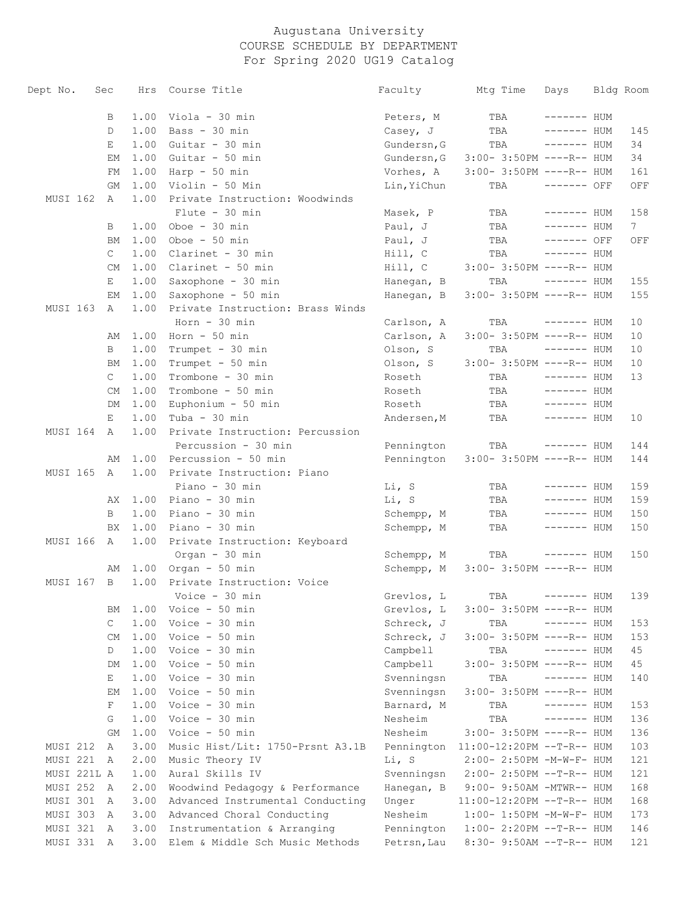| Dept No.        | Sec |                | Hrs  | Course Title                     | Faculty     | Mtg Time                             | Days         | Bldg Room |
|-----------------|-----|----------------|------|----------------------------------|-------------|--------------------------------------|--------------|-----------|
|                 |     | В              | 1.00 | Viola - 30 min                   | Peters, M   | TBA                                  | ------- HUM  |           |
|                 |     | D              | 1.00 | Bass - 30 min                    | Casey, J    | TBA                                  | ------- HUM  | 145       |
|                 |     | Е              | 1.00 | Guitar - 30 min                  | Gundersn, G | TBA                                  | ------- HUM  | 34        |
|                 |     | ЕM             | 1.00 | Guitar - 50 min                  | Gundersn, G | $3:00-3:50PM$ ----R-- HUM            |              | 34        |
|                 |     | FM             | 1.00 | Harp - 50 min                    | Vorhes, A   | $3:00-3:50PM$ ----R-- HUM            |              | 161       |
|                 |     | GМ             | 1.00 | Violin - 50 Min                  | Lin, YiChun | TBA                                  | ------- OFF  | OFF       |
| MUSI 162        |     | A              | 1.00 | Private Instruction: Woodwinds   |             |                                      |              |           |
|                 |     |                |      | $Flute - 30 min$                 | Masek, P    | TBA                                  | $------$ HUM | 158       |
|                 |     | B              | 1.00 | Oboe $-30$ min                   | Paul, J     | TBA                                  | ------- HUM  | 7         |
|                 |     | ВM             | 1.00 | Oboe $-50$ min                   | Paul, J     | TBA                                  | ------- OFF  | OFF       |
|                 |     | $\mathsf{C}$   | 1.00 | Clarinet - 30 min                | Hill, C     | TBA                                  | ------- HUM  |           |
|                 |     | CM             | 1.00 | Clarinet - 50 min                | Hill, C     | 3:00- 3:50PM ----R-- HUM             |              |           |
|                 |     | Е              | 1.00 | Saxophone - 30 min               | Hanegan, B  | TBA                                  | ------- HUM  | 155       |
|                 |     | EМ             | 1.00 | Saxophone - 50 min               | Hanegan, B  | $3:00-3:50PM$ ----R-- HUM            |              | 155       |
| MUSI 163        |     | A              | 1.00 | Private Instruction: Brass Winds |             |                                      |              |           |
|                 |     |                |      | $Horn - 30 min$                  | Carlson, A  | TBA                                  | ------- HUM  | 10        |
|                 |     | AΜ             | 1.00 | Horn - 50 min                    | Carlson, A  | 3:00- 3:50PM ----R-- HUM             |              | 10        |
|                 |     | B              | 1.00 | Trumpet - 30 min                 | Olson, S    | TBA                                  | ------- HUM  | 10        |
|                 |     | BМ             | 1.00 | Trumpet - 50 min                 | Olson, S    | 3:00- 3:50PM ----R-- HUM             |              | 10        |
|                 |     | $\mathsf{C}$   | 1.00 | Trombone - 30 min                | Roseth      | TBA                                  | $------$ HUM | 13        |
|                 |     | CM             | 1.00 | Trombone - 50 min                | Roseth      | TBA                                  | $------$ HUM |           |
|                 |     | DM             | 1.00 | Euphonium - 50 min               | Roseth      | TBA                                  | ------- HUM  |           |
|                 |     | Е              | 1.00 | Tuba - 30 min                    | Andersen, M | TBA                                  | ------- HUM  | 10        |
| MUSI 164        |     | A              | 1.00 | Private Instruction: Percussion  |             |                                      |              |           |
|                 |     |                |      | Percussion - 30 min              | Pennington  | TBA                                  | ------- HUM  | 144       |
|                 |     | AΜ             | 1.00 | Percussion - 50 min              | Pennington  | $3:00-3:50PM$ ----R-- HUM            |              | 144       |
| <b>MUSI 165</b> |     | A              | 1.00 | Private Instruction: Piano       |             |                                      |              |           |
|                 |     |                |      | Piano - 30 min                   | Li, S       | TBA                                  | ------- HUM  | 159       |
|                 |     | AX.            | 1.00 | Piano - 30 min                   | Li, S       | TBA                                  | ------- HUM  | 159       |
|                 |     | B              | 1.00 | Piano - 30 min                   | Schempp, M  | TBA                                  | ------- HUM  | 150       |
|                 |     | BX             | 1.00 | Piano - 30 min                   | Schempp, M  | TBA                                  | ------- HUM  | 150       |
| MUSI 166        |     | A              | 1.00 | Private Instruction: Keyboard    |             |                                      |              |           |
|                 |     |                |      | Organ - 30 min                   | Schempp, M  | TBA                                  | ------- HUM  | 150       |
|                 |     | AΜ             | 1.00 | Organ - 50 min                   | Schempp, M  | $3:00-3:50PM$ ----R-- HUM            |              |           |
| MUSI 167        |     | $\overline{B}$ | 1.00 | Private Instruction: Voice       |             |                                      |              |           |
|                 |     |                |      | Voice - 30 min                   | Grevlos, L  | TBA                                  | ------ HUM   | 139       |
|                 |     | ΒM             | 1.00 | Voice - 50 min                   | Grevlos, L  | $3:00-3:50PM$ ----R-- HUM            |              |           |
|                 |     | $\mathsf{C}$   | 1.00 | Voice - 30 min                   | Schreck, J  | TBA                                  | ------- HUM  | 153       |
|                 |     | CM             | 1.00 | Voice - 50 min                   | Schreck, J  | 3:00- 3:50PM ----R-- HUM             |              | 153       |
|                 |     | D              | 1.00 | Voice - 30 min                   | Campbell    | TBA                                  | $------$ HUM | 45        |
|                 |     | DM             | 1.00 | Voice - 50 min                   | Campbell    | 3:00- 3:50PM ----R-- HUM             |              | 45        |
|                 |     | Е              | 1.00 | Voice - 30 min                   | Svenningsn  | TBA                                  | $------$ HUM | 140       |
|                 |     | ЕM             | 1.00 | Voice - 50 min                   | Svenningsn  | 3:00- 3:50PM ----R-- HUM             |              |           |
|                 |     | F              | 1.00 | Voice - 30 min                   | Barnard, M  | TBA                                  | $------$ HUM | 153       |
|                 |     | G              | 1.00 | Voice - 30 min                   | Nesheim     | TBA                                  | $------$ HUM | 136       |
|                 |     | GM             | 1.00 | Voice - 50 min                   | Nesheim     | $3:00-3:50PM$ ----R-- HUM            |              | 136       |
| MUSI 212        |     | A              | 3.00 | Music Hist/Lit: 1750-Prsnt A3.1B |             | Pennington 11:00-12:20PM --T-R-- HUM |              | 103       |
| MUSI 221        |     | A              | 2.00 | Music Theory IV                  | Li, S       | 2:00- 2:50PM -M-W-F- HUM             |              | 121       |
| MUSI 221L A     |     |                | 1.00 | Aural Skills IV                  | Svenningsn  | 2:00- 2:50PM --T-R-- HUM             |              | 121       |
| MUSI 252        |     | A              | 2.00 | Woodwind Pedagogy & Performance  | Hanegan, B  | 9:00- 9:50AM -MTWR-- HUM             |              | 168       |
| MUSI 301        |     | A              | 3.00 | Advanced Instrumental Conducting | Unger       | 11:00-12:20PM --T-R-- HUM            |              | 168       |
| MUSI 303        |     | A              | 3.00 | Advanced Choral Conducting       | Nesheim     | $1:00-1:50PM -M-W-F-HUM$             |              | 173       |
| MUSI 321        |     | A              | 3.00 | Instrumentation & Arranging      | Pennington  | $1:00-2:20PM -T-R--HUM$              |              | 146       |
| MUSI 331 A      |     |                | 3.00 | Elem & Middle Sch Music Methods  | Petrsn, Lau | 8:30- 9:50AM --T-R-- HUM             |              | 121       |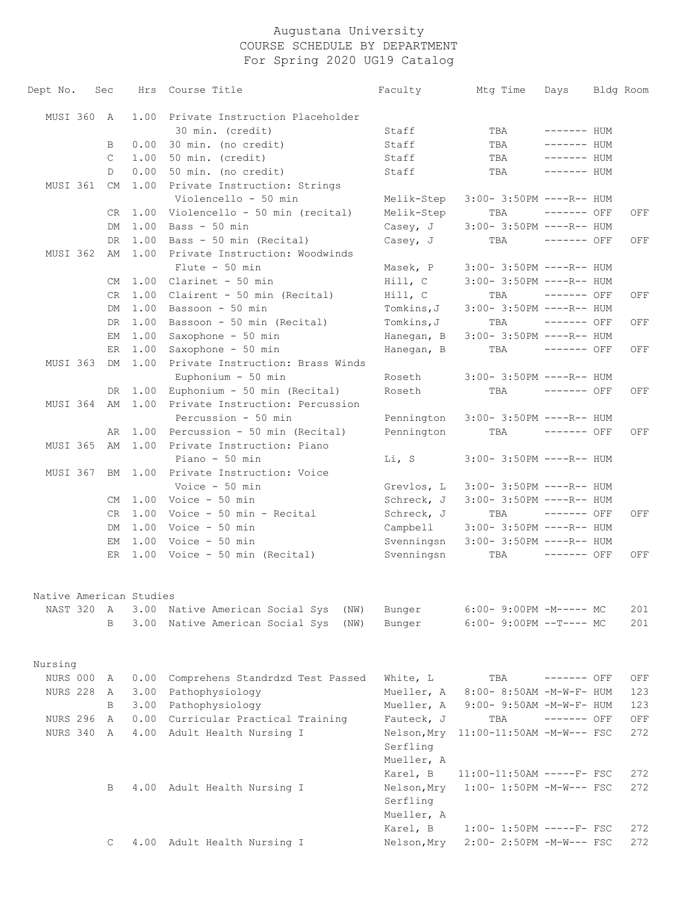| Dept No.                | Sec         | Hrs  | Course Title                       | Faculty                | Mtg Time                          | Days         | Bldg Room |
|-------------------------|-------------|------|------------------------------------|------------------------|-----------------------------------|--------------|-----------|
| MUSI 360                | A           | 1.00 | Private Instruction Placeholder    |                        |                                   |              |           |
|                         |             |      | 30 min. (credit)                   | Staff                  | TBA                               | $------$ HUM |           |
|                         | B           | 0.00 | 30 min. (no credit)                | Staff                  | TBA                               | ------- HUM  |           |
|                         | C           | 1.00 | 50 min. (credit)                   | Staff                  | TBA                               | ------- HUM  |           |
|                         | D           | 0.00 | 50 min. (no credit)                | Staff                  | TBA                               | ------- HUM  |           |
| MUSI 361                | CM          | 1.00 | Private Instruction: Strings       |                        |                                   |              |           |
|                         |             |      | Violencello - 50 min               | Melik-Step             | $3:00-3:50PM$ ----R-- HUM         |              |           |
|                         | CR.         | 1.00 | Violencello - 50 min (recital)     | Melik-Step             | TBA                               | $------$ OFF | OFF       |
|                         | DM          | 1.00 | Bass - 50 min                      | Casey, J               | 3:00- 3:50PM ----R-- HUM          |              |           |
|                         | DR          | 1.00 | Bass - 50 min (Recital)            | Casey, J               | TBA                               | $------$ OFF | OFF       |
| MUSI 362                | AΜ          | 1.00 | Private Instruction: Woodwinds     |                        |                                   |              |           |
|                         |             |      | $Flute - 50 min$                   | Masek, P               | $3:00-3:50PM$ ----R-- HUM         |              |           |
|                         | CM          |      | $1.00$ Clarinet - 50 min           | Hill, C                | 3:00- 3:50PM ----R-- HUM          |              |           |
|                         | CR          | 1.00 | Clairent - 50 min (Recital)        | Hill, C                | TBA                               | $------$ OFF | OFF       |
|                         | DM          | 1.00 | Bassoon - 50 min                   | Tomkins, J             | 3:00- 3:50PM ----R-- HUM          |              |           |
|                         | DR.         | 1.00 | Bassoon - 50 min (Recital)         | Tomkins, J             | TBA                               | $------$ OFF | OFF       |
|                         | EМ          | 1.00 | Saxophone - 50 min                 | Hanegan, B             | $3:00-3:50PM$ ----R-- HUM         |              |           |
|                         | ER          | 1.00 | Saxophone - 50 min                 | Hanegan, B             | TBA                               | $------$ OFF | OFF       |
| MUSI 363                | DM          | 1.00 | Private Instruction: Brass Winds   |                        |                                   |              |           |
|                         |             |      | Euphonium - 50 min                 | Roseth                 | $3:00-3:50PM$ ----R-- HUM         |              |           |
|                         | DR.         | 1.00 | Euphonium - 50 min (Recital)       | Roseth                 | TBA                               | ------- OFF  | OFF       |
| MUSI 364                | AM          | 1.00 | Private Instruction: Percussion    |                        |                                   |              |           |
|                         |             |      | Percussion - 50 min                | Pennington             | $3:00-3:50PM$ ----R-- HUM         |              |           |
|                         | AR          | 1.00 | Percussion - 50 min (Recital)      | Pennington             | TBA                               | $------$ OFF | OFF       |
| MUSI 365                | AM          | 1.00 | Private Instruction: Piano         |                        |                                   |              |           |
|                         |             |      | Piano - 50 min                     | Li, S                  | $3:00-3:50PM$ ----R-- HUM         |              |           |
| MUSI 367                | BM          | 1.00 | Private Instruction: Voice         |                        |                                   |              |           |
|                         |             |      | Voice - 50 min                     | Grevlos, L             | $3:00-3:50PM$ ----R-- HUM         |              |           |
|                         | CM          |      | $1.00$ Voice - 50 min              | Schreck, J             | 3:00- 3:50PM ----R-- HUM          |              |           |
|                         | CR          | 1.00 | Voice - 50 min - Recital           | Schreck, J             | TBA                               | ------- OFF  | OFF       |
|                         | DM          | 1.00 | Voice - 50 min                     | Campbell               | $3:00-3:50PM$ ----R-- HUM         |              |           |
|                         | EМ          | 1.00 | Voice - 50 min                     | Svenningsn             | $3:00-3:50PM$ ----R-- HUM         |              |           |
|                         | ER          |      | 1.00 Voice - 50 min (Recital)      | Svenningsn             | TBA                               | $------$ OFF | OFF       |
| Native American Studies |             |      |                                    |                        |                                   |              |           |
| NAST 320                | A           | 3.00 | Native American Social Sys<br>(NW) | Bunger                 | $6:00-9:00PM -M--- MC$            |              | 201       |
|                         | B           | 3.00 | Native American Social Sys<br>(NW) | Bunger                 | $6:00-9:00PM --T---MC$            |              | 201       |
| Nursing                 |             |      |                                    |                        |                                   |              |           |
| NURS 000                | A           | 0.00 | Comprehens Standrdzd Test Passed   | White, L               | TBA                               | $------$ OFF | OFF       |
| <b>NURS 228</b>         | A           | 3.00 | Pathophysiology                    | Mueller, A             | 8:00- 8:50AM -M-W-F- HUM          |              | 123       |
|                         | B           | 3.00 | Pathophysiology                    | Mueller, A             | $9:00 - 9:50AM - M - W - F - HUM$ |              | 123       |
| NURS 296                | A           | 0.00 | Curricular Practical Training      | Fauteck, J             | TBA                               | $------$ OFF | OFF       |
| NURS 340                | A           | 4.00 | Adult Health Nursing I             | Nelson, Mry            | 11:00-11:50AM -M-W--- FSC         |              | 272       |
|                         |             |      |                                    | Serfling<br>Mueller, A |                                   |              |           |
|                         |             |      |                                    | Karel, B               | $11:00-11:50AM$ -----F- FSC       |              | 272       |
|                         | В           |      | 4.00 Adult Health Nursing I        | Nelson, Mry            | $1:00-1:50PM -M-W--- FSC$         |              | 272       |
|                         |             |      |                                    | Serfling               |                                   |              |           |
|                         |             |      |                                    | Mueller, A             |                                   |              |           |
|                         |             |      |                                    | Karel, B               | $1:00-1:50PM$ -----F- FSC         |              | 272       |
|                         | $\mathbb C$ |      | 4.00 Adult Health Nursing I        | Nelson, Mry            | 2:00- 2:50PM -M-W--- FSC          |              | 272       |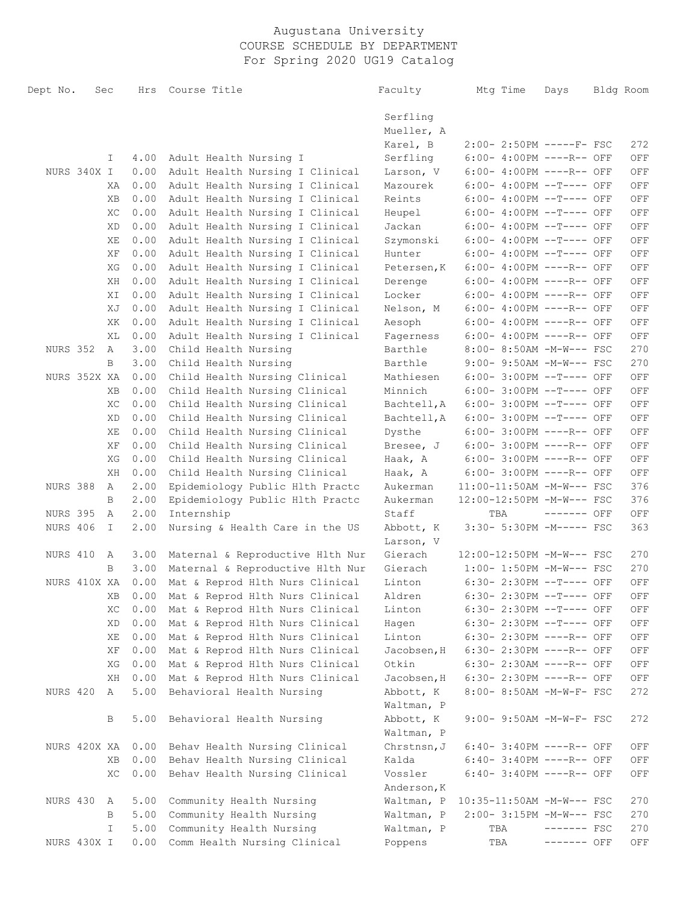| Dept No.        | Sec |    | Hrs  | Course Title                            | Faculty              | Mtg Time                    | Days         | Bldg Room                   |
|-----------------|-----|----|------|-----------------------------------------|----------------------|-----------------------------|--------------|-----------------------------|
|                 |     |    |      |                                         | Serfling             |                             |              |                             |
|                 |     |    |      |                                         | Mueller, A           |                             |              |                             |
|                 |     |    |      |                                         | Karel, B             | 2:00- 2:50PM -----F- FSC    |              | 272                         |
|                 |     | I. | 4.00 | Adult Health Nursing I                  | Serfling             | $6:00-4:00PM$ ----R-- OFF   |              | OFF                         |
| NURS 340X I     |     |    | 0.00 | Adult Health Nursing I Clinical         | Larson, V            | $6:00-4:00PM$ ----R-- OFF   |              | OFF                         |
|                 |     | ΧA | 0.00 | Adult Health Nursing I Clinical         | Mazourek             | $6:00-4:00PM$ --T---- OFF   |              | OFF                         |
|                 |     | XВ | 0.00 | Adult Health Nursing I Clinical         | Reints               | $6:00-4:00PM$ --T---- OFF   |              | OFF                         |
|                 |     | XC | 0.00 | Adult Health Nursing I Clinical         | Heupel               | $6:00-4:00PM$ --T---- OFF   |              | OFF                         |
|                 |     | XD | 0.00 | Adult Health Nursing I Clinical         | Jackan               | $6:00-4:00PM$ --T---- OFF   |              | OFF                         |
|                 |     | ΧE | 0.00 | Adult Health Nursing I Clinical         | Szymonski            | $6:00-4:00PM$ --T---- OFF   |              | OFF                         |
|                 |     | ΧF | 0.00 | Adult Health Nursing I Clinical         | Hunter               | $6:00-4:00PM$ --T---- OFF   |              | OFF                         |
|                 |     | XG | 0.00 | Adult Health Nursing I Clinical         | Petersen, K          | $6:00-4:00PM$ ----R-- OFF   |              | OFF                         |
|                 |     | ΧH | 0.00 | Adult Health Nursing I Clinical         | Derenge              | $6:00-4:00PM$ ----R-- OFF   |              | OFF                         |
|                 |     | ΧI | 0.00 | Adult Health Nursing I Clinical         | Locker               | $6:00-4:00PM$ ----R-- OFF   |              | OFF                         |
|                 |     | ΧJ | 0.00 | Adult Health Nursing I Clinical         | Nelson, M            | $6:00-4:00PM$ ----R-- OFF   |              | OFF                         |
|                 |     | XK | 0.00 | Adult Health Nursing I Clinical         | Aesoph               | $6:00-4:00PM$ ----R-- OFF   |              | OFF                         |
|                 |     | ΧL | 0.00 | Adult Health Nursing I Clinical         |                      | $6:00-4:00PM$ ----R-- OFF   |              | OFF                         |
| NURS 352        |     | A  | 3.00 | Child Health Nursing                    | Fagerness<br>Barthle | $8:00-8:50AM -M-W--- FSC$   |              | 270                         |
|                 |     | B  | 3.00 | Child Health Nursing                    |                      |                             |              | 270                         |
| NURS 352X XA    |     |    | 0.00 |                                         | Barthle              | $9:00-9:50AM -M-W---FSC$    |              |                             |
|                 |     |    |      | Child Health Nursing Clinical           | Mathiesen            | $6:00-3:00PM$ --T---- OFF   |              | OFF                         |
|                 |     | XВ | 0.00 | Child Health Nursing Clinical           | Minnich              | $6:00-3:00PM$ --T---- OFF   |              | OFF                         |
|                 |     | XC | 0.00 | Child Health Nursing Clinical           | Bachtell, A          | $6:00-3:00PM$ --T---- OFF   |              | OFF                         |
|                 |     | XD | 0.00 | Child Health Nursing Clinical           | Bachtell, A          | $6:00-3:00PM$ --T---- OFF   |              | OFF                         |
|                 |     | XЕ | 0.00 | Child Health Nursing Clinical           | Dysthe               | $6:00-3:00PM$ ----R-- OFF   |              | OFF                         |
|                 |     | ΧF | 0.00 | Child Health Nursing Clinical           | Bresee, J            | $6:00-3:00PM$ ----R-- OFF   |              | OFF                         |
|                 |     | XG | 0.00 | Child Health Nursing Clinical           | Haak, A              | $6:00-3:00PM$ ----R-- OFF   |              | OFF                         |
|                 |     | ΧH | 0.00 | Child Health Nursing Clinical           | Haak, A              | $6:00-3:00PM$ ----R-- OFF   |              | OFF                         |
| NURS 388        |     | Α  | 2.00 | Epidemiology Public Hlth Practc         | Aukerman             | $11:00-11:50AM$ -M-W--- FSC |              | 376                         |
|                 |     | B  | 2.00 | Epidemiology Public Hlth Practc         | Aukerman             | 12:00-12:50PM -M-W--- FSC   |              | 376                         |
| <b>NURS 395</b> |     | А  | 2.00 | Internship                              | Staff                | TBA                         | $------$ OFF | OFF                         |
| NURS 406        |     | I  | 2.00 | Nursing & Health Care in the US         | Abbott, K            | 3:30- 5:30PM -M----- FSC    |              | 363                         |
|                 |     |    |      |                                         | Larson, V            |                             |              |                             |
| NURS 410        |     | A  | 3.00 | Maternal & Reproductive Hlth Nur        | Gierach              | 12:00-12:50PM -M-W--- FSC   |              | 270                         |
|                 |     | B  | 3.00 | Maternal & Reproductive Hlth Nur        | Gierach              | $1:00-1:50PM -M-W--- FSC$   |              | 270                         |
| NURS 410X XA    |     |    | 0.00 | Mat & Reprod Hlth Nurs Clinical         | Linton               | 6:30- 2:30PM --T---- OFF    |              | OFF                         |
|                 |     |    |      | XB 0.00 Mat & Reprod Hlth Nurs Clinical | Aldren               | 6:30- 2:30PM --T---- OFF    |              | $\mathop{\rm OFF}\nolimits$ |
|                 |     | XC | 0.00 | Mat & Reprod Hlth Nurs Clinical         | Linton               | 6:30- 2:30PM --T---- OFF    |              | OFF                         |
|                 |     | XD | 0.00 | Mat & Reprod Hlth Nurs Clinical         | Hagen                | 6:30- 2:30PM --T---- OFF    |              | $\mathop{\rm OFF}$          |
|                 |     | ΧE | 0.00 | Mat & Reprod Hlth Nurs Clinical         | Linton               | 6:30- 2:30PM ----R-- OFF    |              | OFF                         |
|                 |     | ΧF | 0.00 | Mat & Reprod Hlth Nurs Clinical         | Jacobsen, H          | 6:30- 2:30PM ----R-- OFF    |              | OFF                         |
|                 |     | XG | 0.00 | Mat & Reprod Hlth Nurs Clinical         | Otkin                | 6:30- 2:30AM ----R-- OFF    |              | OFF                         |
|                 |     | ΧH | 0.00 | Mat & Reprod Hlth Nurs Clinical         | Jacobsen, H          | 6:30- 2:30PM ----R-- OFF    |              | OFF                         |
| NURS 420        |     | Α  | 5.00 | Behavioral Health Nursing               | Abbott, K            | 8:00- 8:50AM -M-W-F- FSC    |              | 272                         |
|                 |     |    |      |                                         | Waltman, P           |                             |              |                             |
|                 |     | В  | 5.00 | Behavioral Health Nursing               | Abbott, K            | 9:00- 9:50AM -M-W-F- FSC    |              | 272                         |
|                 |     |    |      |                                         | Waltman, P           |                             |              |                             |
| NURS 420X XA    |     |    | 0.00 | Behav Health Nursing Clinical           | Chrstnsn, J          | 6:40- 3:40PM ----R-- OFF    |              | OFF                         |
|                 |     | XВ | 0.00 | Behav Health Nursing Clinical           | Kalda                | 6:40- 3:40PM ----R-- OFF    |              | OFF                         |
|                 |     | XC | 0.00 | Behav Health Nursing Clinical           | Vossler              | 6:40- 3:40PM ----R-- OFF    |              | OFF                         |
|                 |     |    |      |                                         | Anderson, K          |                             |              |                             |
| NURS 430        |     | A  | 5.00 | Community Health Nursing                | Waltman, P           | 10:35-11:50AM -M-W--- FSC   |              | 270                         |
|                 |     | B  | 5.00 | Community Health Nursing                | Waltman, P           | 2:00- 3:15PM -M-W--- FSC    |              | 270                         |
|                 |     | I. | 5.00 | Community Health Nursing                | Waltman, P           | TBA                         | $------$ FSC | 270                         |
| NURS 430X I     |     |    | 0.00 | Comm Health Nursing Clinical            | Poppens              | TBA                         | ------- OFF  | OFF                         |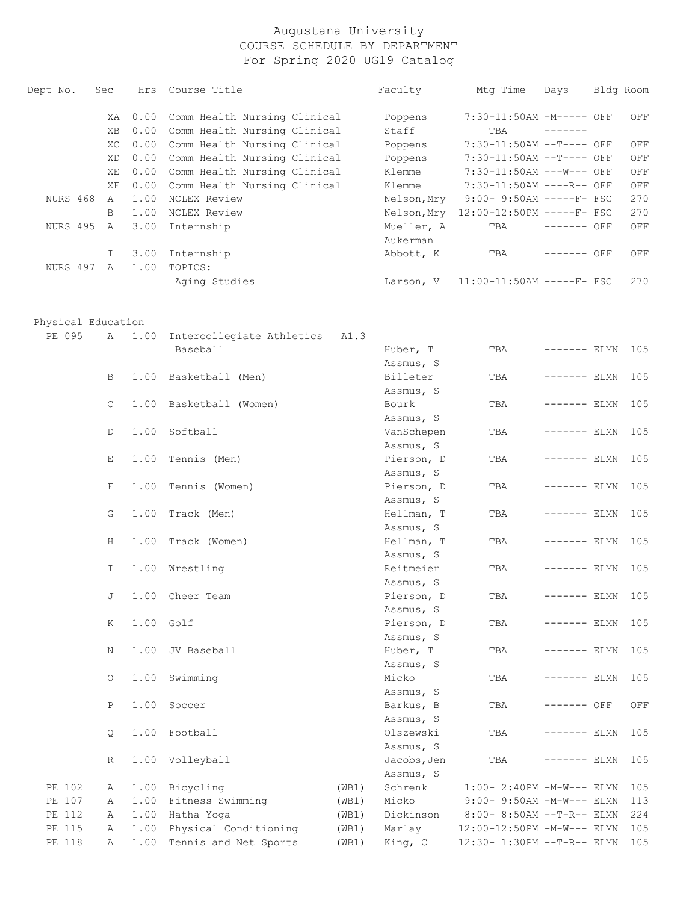| Dept No. | Sec          | Hrs  | Course Title                 | Faculty     | Mtg Time                    | Days         | Bldg Room |     |
|----------|--------------|------|------------------------------|-------------|-----------------------------|--------------|-----------|-----|
|          | XA.          | 0.00 | Comm Health Nursing Clinical | Poppens     | 7:30-11:50AM -M----- OFF    |              |           | OFF |
|          | XB.          | 0.00 | Comm Health Nursing Clinical | Staff       | TBA                         | -------      |           |     |
|          | XC.          | 0.00 | Comm Health Nursing Clinical | Poppens     | 7:30-11:50AM --T---- OFF    |              |           | OFF |
|          | XD.          | 0.00 | Comm Health Nursing Clinical | Poppens     | 7:30-11:50AM --T---- OFF    |              |           | OFF |
|          | XE           | 0.00 | Comm Health Nursing Clinical | Klemme      | 7:30-11:50AM ---W--- OFF    |              |           | OFF |
|          | XF           | 0.00 | Comm Health Nursing Clinical | Klemme      | 7:30-11:50AM ----R-- OFF    |              |           | OFF |
| NURS 468 | $\mathsf{A}$ | 1.00 | NCLEX Review                 | Nelson, Mry | $9:00 - 9:50AM$ -----F- FSC |              |           | 270 |
|          | B            | 1.00 | NCLEX Review                 | Nelson, Mry | 12:00-12:50PM -----F- FSC   |              |           | 270 |
| NURS 495 | $\mathsf{A}$ | 3.00 | Internship                   | Mueller, A  | TBA                         | $------$ OFF |           | OFF |
|          |              |      |                              | Aukerman    |                             |              |           |     |
|          |              | 3.00 | Internship                   | Abbott, K   | TBA                         | -------      | OFF       | OFF |
| NURS 497 | $\mathsf{A}$ | 1.00 | TOPICS:                      |             |                             |              |           |     |
|          |              |      | Aging Studies                | Larson, V   | $11:00-11:50AM$ -----F- FSC |              |           | 270 |

Physical Education

| PE 095 | Α            | 1.00 | Intercollegiate Athletics | A1.3  |             |                               |               |     |
|--------|--------------|------|---------------------------|-------|-------------|-------------------------------|---------------|-----|
|        |              |      | Baseball                  |       | Huber, T    | TBA                           | $------$ ELMN | 105 |
|        |              |      |                           |       | Assmus, S   |                               |               |     |
|        | В            | 1.00 | Basketball (Men)          |       | Billeter    | TBA                           | $------$ ELMN | 105 |
|        |              |      |                           |       | Assmus, S   |                               |               |     |
|        | $\mathsf{C}$ | 1.00 | Basketball (Women)        |       | Bourk       | TBA                           | ------- ELMN  | 105 |
|        |              |      |                           |       | Assmus, S   |                               |               |     |
|        | D            | 1.00 | Softball                  |       | VanSchepen  | TBA                           | ------- ELMN  | 105 |
|        |              |      |                           |       | Assmus, S   |                               |               |     |
|        | Е            | 1.00 | Tennis (Men)              |       | Pierson, D  | TBA                           | ------- ELMN  | 105 |
|        |              |      |                           |       | Assmus, S   |                               |               |     |
|        | F            | 1.00 | Tennis (Women)            |       | Pierson, D  | TBA                           | ------- ELMN  | 105 |
|        |              |      |                           |       | Assmus, S   |                               |               |     |
|        | G            | 1.00 | Track (Men)               |       | Hellman, T  | TBA                           | ------- ELMN  | 105 |
|        |              |      |                           |       | Assmus, S   |                               |               |     |
|        | Н            | 1.00 | Track (Women)             |       | Hellman, T  | TBA                           | $------$ ELMN | 105 |
|        |              |      |                           |       | Assmus, S   |                               |               |     |
|        | I.           | 1.00 | Wrestling                 |       | Reitmeier   | TBA                           | $------$ ELMN | 105 |
|        |              |      |                           |       | Assmus, S   |                               |               |     |
|        | J            | 1.00 | Cheer Team                |       | Pierson, D  | TBA                           | $------$ ELMN | 105 |
|        |              |      |                           |       | Assmus, S   |                               |               |     |
|        | K            | 1.00 | Golf                      |       | Pierson, D  | TBA                           | $------$ ELMN | 105 |
|        |              |      |                           |       | Assmus, S   |                               |               |     |
|        | Ν            | 1.00 | JV Baseball               |       | Huber, T    | TBA                           | $------$ ELMN | 105 |
|        |              |      |                           |       | Assmus, S   |                               |               |     |
|        | $\circ$      | 1.00 | Swimming                  |       | Micko       | TBA                           | $------$ ELMN | 105 |
|        |              |      |                           |       | Assmus, S   |                               |               |     |
|        | Ρ            | 1.00 | Soccer                    |       | Barkus, B   | TBA                           | ------- OFF   | OFF |
|        |              |      |                           |       | Assmus, S   |                               |               |     |
|        | $\circ$      | 1.00 | Football                  |       | Olszewski   | TBA                           | $------$ ELMN | 105 |
|        |              |      |                           |       | Assmus, S   |                               |               |     |
|        | R            | 1.00 | Volleyball                |       | Jacobs, Jen | TBA                           | ------- ELMN  | 105 |
|        |              |      |                           |       | Assmus, S   |                               |               |     |
| PE 102 | Α            | 1.00 | Bicycling                 | (WB1) | Schrenk     | $1:00-2:40PM -M-W---$ ELMN    |               | 105 |
| PE 107 | Α            | 1.00 | Fitness Swimming          | (WB1) | Micko       | $9:00 - 9:50AM - M-W---$ ELMN |               | 113 |
| PE 112 | Α            | 1.00 | Hatha Yoga                | (WB1) | Dickinson   | 8:00- 8:50AM --T-R-- ELMN     |               | 224 |
| PE 115 | Α            | 1.00 | Physical Conditioning     | (WB1) | Marlay      | 12:00-12:50PM -M-W--- ELMN    |               | 105 |
| PE 118 | Α            | 1.00 | Tennis and Net Sports     | (WB1) | King, C     | 12:30- 1:30PM --T-R-- ELMN    |               | 105 |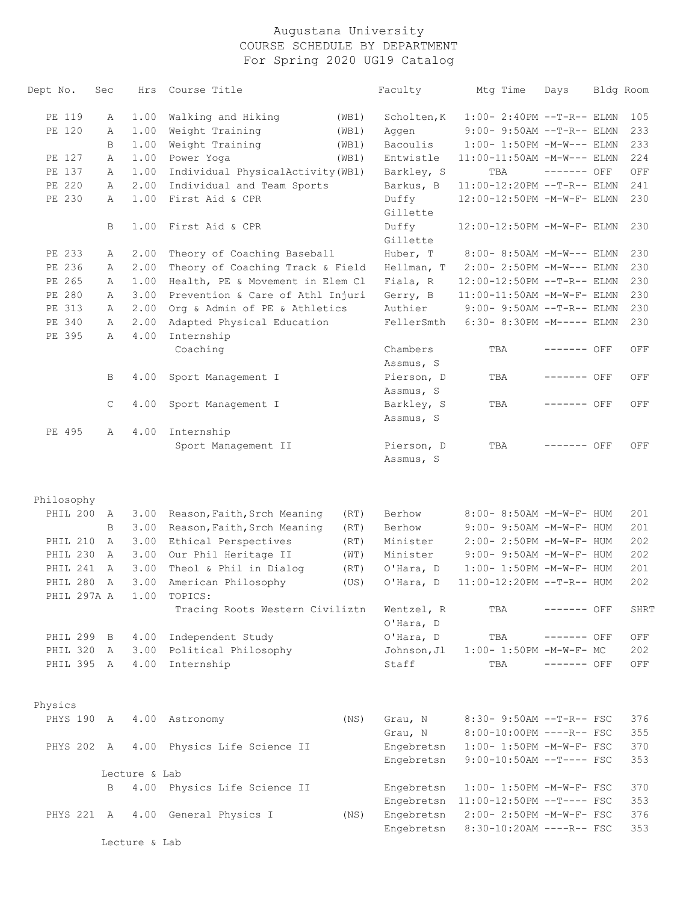| 105<br>$1:00-2:40PM -T-R--ELMN$<br>$9:00-9:50AM --T-R--ELMN$<br>233<br>1:00- 1:50PM -M-W--- ELMN<br>233<br>11:00-11:50AM -M-W--- ELMN<br>224<br>TBA<br>------- OFF<br>OFF<br>241<br>11:00-12:20PM --T-R-- ELMN<br>12:00-12:50PM -M-W-F- ELMN<br>230<br>12:00-12:50PM -M-W-F- ELMN<br>230 |
|------------------------------------------------------------------------------------------------------------------------------------------------------------------------------------------------------------------------------------------------------------------------------------------|
|                                                                                                                                                                                                                                                                                          |
|                                                                                                                                                                                                                                                                                          |
|                                                                                                                                                                                                                                                                                          |
|                                                                                                                                                                                                                                                                                          |
|                                                                                                                                                                                                                                                                                          |
|                                                                                                                                                                                                                                                                                          |
|                                                                                                                                                                                                                                                                                          |
|                                                                                                                                                                                                                                                                                          |
|                                                                                                                                                                                                                                                                                          |
|                                                                                                                                                                                                                                                                                          |
| 8:00- 8:50AM -M-W--- ELMN<br>230                                                                                                                                                                                                                                                         |
| 2:00- 2:50PM -M-W--- ELMN<br>230                                                                                                                                                                                                                                                         |
| 230<br>12:00-12:50PM --T-R-- ELMN                                                                                                                                                                                                                                                        |
| 230<br>11:00-11:50AM -M-W-F- ELMN                                                                                                                                                                                                                                                        |
| $9:00-9:50AM --T-R--ELMN$<br>230                                                                                                                                                                                                                                                         |
| 6:30- 8:30PM -M----- ELMN<br>230                                                                                                                                                                                                                                                         |
|                                                                                                                                                                                                                                                                                          |
| TBA<br>------- OFF<br>OFF                                                                                                                                                                                                                                                                |
|                                                                                                                                                                                                                                                                                          |
| TBA<br>------- OFF<br>OFF                                                                                                                                                                                                                                                                |
|                                                                                                                                                                                                                                                                                          |
| TBA<br>------- OFF<br>OFF                                                                                                                                                                                                                                                                |
|                                                                                                                                                                                                                                                                                          |
|                                                                                                                                                                                                                                                                                          |
| TBA<br>$------$ OFF<br>OFF                                                                                                                                                                                                                                                               |
|                                                                                                                                                                                                                                                                                          |
|                                                                                                                                                                                                                                                                                          |
|                                                                                                                                                                                                                                                                                          |
| 8:00- 8:50AM -M-W-F- HUM<br>201                                                                                                                                                                                                                                                          |
| 9:00- 9:50AM -M-W-F- HUM<br>201                                                                                                                                                                                                                                                          |
| 2:00- 2:50PM -M-W-F- HUM<br>202                                                                                                                                                                                                                                                          |
| 9:00- 9:50AM -M-W-F- HUM<br>202                                                                                                                                                                                                                                                          |
| $1:00-1:50PM -M-W-F- HUM$<br>201                                                                                                                                                                                                                                                         |
| 11:00-12:20PM --T-R-- HUM<br>202                                                                                                                                                                                                                                                         |
|                                                                                                                                                                                                                                                                                          |
| TBA<br>------- OFF<br>SHRT                                                                                                                                                                                                                                                               |
|                                                                                                                                                                                                                                                                                          |
| TBA<br>------- OFF<br>OFF                                                                                                                                                                                                                                                                |
| $1:00-1:50PM -M-W-F-MC$<br>202                                                                                                                                                                                                                                                           |
| TBA<br>------- OFF<br>OFF                                                                                                                                                                                                                                                                |
|                                                                                                                                                                                                                                                                                          |
| 376<br>8:30- 9:50AM --T-R-- FSC                                                                                                                                                                                                                                                          |
| 355<br>8:00-10:00PM ----R-- FSC                                                                                                                                                                                                                                                          |
| 370<br>$1:00-1:50PM -M-W-F-FSC$                                                                                                                                                                                                                                                          |
| $9:00-10:50AM$ --T---- FSC<br>353                                                                                                                                                                                                                                                        |
|                                                                                                                                                                                                                                                                                          |
| 1:00- 1:50PM -M-W-F- FSC<br>370                                                                                                                                                                                                                                                          |
|                                                                                                                                                                                                                                                                                          |
| 11:00-12:50PM --T---- FSC<br>353                                                                                                                                                                                                                                                         |
| 376<br>2:00- 2:50PM -M-W-F- FSC                                                                                                                                                                                                                                                          |
|                                                                                                                                                                                                                                                                                          |

Lecture & Lab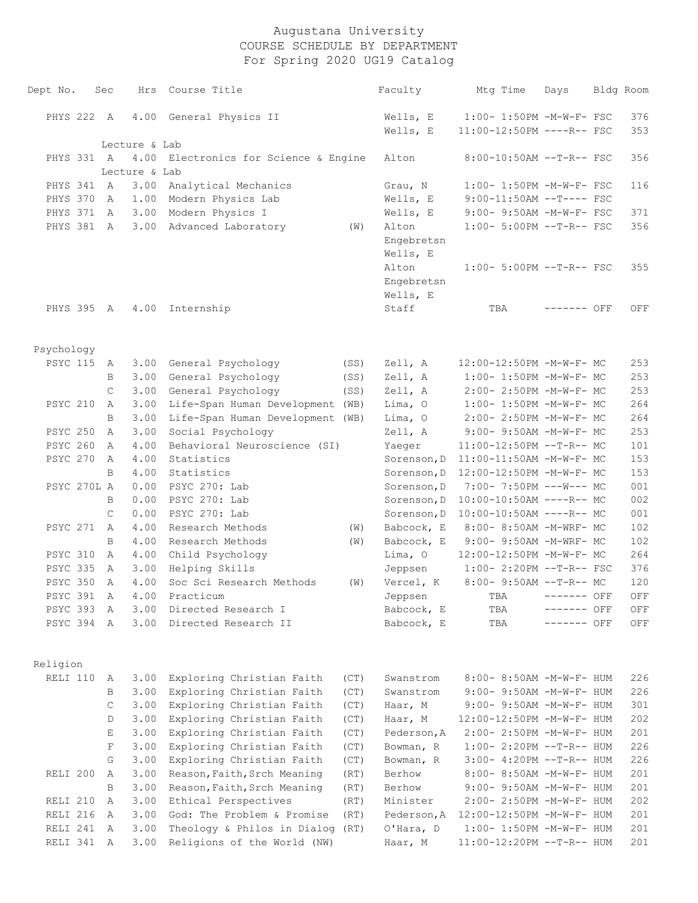| Dept No.        | Sec          | Hrs           | Course Title                                           |              | Faculty                | Mtg Time                                                      | Days        | Bldg Room  |
|-----------------|--------------|---------------|--------------------------------------------------------|--------------|------------------------|---------------------------------------------------------------|-------------|------------|
| PHYS 222 A      |              | 4.00          | General Physics II                                     |              | Wells, E               | 1:00- 1:50PM -M-W-F- FSC                                      |             | 376        |
|                 |              |               |                                                        |              | Wells, E               | 11:00-12:50PM ----R-- FSC                                     |             | 353        |
|                 |              | Lecture & Lab |                                                        |              |                        |                                                               |             |            |
| PHYS 331 A      |              | 4.00          | Electronics for Science & Engine                       |              | Alton                  | 8:00-10:50AM --T-R-- FSC                                      |             | 356        |
|                 |              | Lecture & Lab |                                                        |              |                        |                                                               |             |            |
| PHYS 341        | A            | 3.00          | Analytical Mechanics                                   |              | Grau, N                | 1:00- 1:50PM -M-W-F- FSC                                      |             | 116        |
| PHYS 370        | A            | 1.00          | Modern Physics Lab                                     |              | Wells, E               | $9:00-11:50AM$ --T---- FSC                                    |             |            |
| PHYS 371        | A            | 3.00          | Modern Physics I                                       |              | Wells, E               | 9:00- 9:50AM -M-W-F- FSC                                      |             | 371        |
| PHYS 381        | A            | 3.00          | Advanced Laboratory                                    | (W)          | Alton                  | 1:00- 5:00PM --T-R-- FSC                                      |             | 356        |
|                 |              |               |                                                        |              | Engebretsn             |                                                               |             |            |
|                 |              |               |                                                        |              | Wells, E               |                                                               |             |            |
|                 |              |               |                                                        |              | Alton                  | $1:00-5:00PM -T-R--FSC$                                       |             | 355        |
|                 |              |               |                                                        |              | Engebretsn             |                                                               |             |            |
| PHYS 395 A      |              | 4.00          |                                                        |              | Wells, E<br>Staff      |                                                               |             |            |
|                 |              |               | Internship                                             |              |                        | TBA                                                           | ------- OFF | OFF        |
|                 |              |               |                                                        |              |                        |                                                               |             |            |
| Psychology      |              | 3.00          |                                                        |              |                        | 12:00-12:50PM -M-W-F- MC                                      |             |            |
| <b>PSYC 115</b> | A<br>B       | 3.00          | General Psychology<br>General Psychology               | (SS)<br>(SS) | Zell, A<br>Zell, A     | 1:00- 1:50PM -M-W-F- MC                                       |             | 253<br>253 |
|                 | C            | 3.00          | General Psychology                                     | (SS)         | Zell, A                | 2:00- 2:50PM -M-W-F- MC                                       |             | 253        |
| PSYC 210        | A            | 3.00          | Life-Span Human Development (WB)                       |              | Lima, 0                | 1:00- 1:50PM -M-W-F- MC                                       |             | 264        |
|                 | B            | 3.00          | Life-Span Human Development (WB)                       |              | Lima, O                | 2:00- 2:50PM -M-W-F- MC                                       |             | 264        |
| PSYC 250        | A            | 3.00          | Social Psychology                                      |              | Zell, A                | 9:00- 9:50AM -M-W-F- MC                                       |             | 253        |
| <b>PSYC 260</b> | A            | 4.00          | Behavioral Neuroscience (SI)                           |              | Yaeger                 | 11:00-12:50PM --T-R-- MC                                      |             | 101        |
| PSYC 270        | A            | 4.00          | Statistics                                             |              | Sorenson, D            | 11:00-11:50AM -M-W-F- MC                                      |             | 153        |
|                 | B.           | 4.00          | Statistics                                             |              | Sorenson, D            | 12:00-12:50PM -M-W-F- MC                                      |             | 153        |
| PSYC 270L A     |              | 0.00          | PSYC 270: Lab                                          |              | Sorenson, D            | 7:00- 7:50PM ---W--- MC                                       |             | 001        |
|                 | B            | 0.00          | PSYC 270: Lab                                          |              | Sorenson, D            | 10:00-10:50AM ----R-- MC                                      |             | 002        |
|                 | $\mathsf{C}$ | 0.00          | PSYC 270: Lab                                          |              | Sorenson, D            | 10:00-10:50AM ----R-- MC                                      |             | 001        |
| PSYC 271        | A            | 4.00          | Research Methods                                       | (W)          | Babcock, E             | 8:00- 8:50AM -M-WRF- MC                                       |             | 102        |
|                 | B            | 4.00          | Research Methods                                       | (W)          | Babcock, E             | 9:00- 9:50AM -M-WRF- MC                                       |             | 102        |
| PSYC 310        | A            | 4.00          | Child Psychology                                       |              | Lima, O                | 12:00-12:50PM -M-W-F- MC                                      |             | 264        |
| <b>PSYC 335</b> | A            | 3.00          | Helping Skills                                         |              | Jeppsen                | $1:00-2:20PM -T-R--FSC$                                       |             | 376        |
| PSYC 350        | A            | 4.00          | Soc Sci Research Methods                               | (W)          | Vercel, K              | 8:00- 9:50AM --T-R-- MC                                       |             | 120        |
| PSYC 391 A      |              | 4.00          | Practicum                                              |              | Jeppsen                | $\begin{tabular}{lllll} TBA & & & -----& & OFF \end{tabular}$ |             | OFF        |
| PSYC 393 A      |              | 3.00          | Directed Research I                                    |              | Babcock, E             | TBA                                                           | ------- OFF | OFF        |
| PSYC 394 A      |              | 3.00          | Directed Research II                                   |              | Babcock, E             | TBA                                                           | ------- OFF | OFF        |
|                 |              |               |                                                        |              |                        |                                                               |             |            |
| Religion        |              |               |                                                        |              |                        |                                                               |             |            |
| RELI 110        | A            | 3.00          | Exploring Christian Faith                              | (CT)         | Swanstrom              | 8:00- 8:50AM -M-W-F- HUM                                      |             | 226        |
|                 | B            | 3.00          | Exploring Christian Faith                              | (CT)         | Swanstrom              | $9:00 - 9:50AM - M - W - F - HUM$                             |             | 226        |
|                 | C            | 3.00          | Exploring Christian Faith                              | (CT)         | Haar, M                | 9:00- 9:50AM -M-W-F- HUM                                      |             | 301        |
|                 | D            | 3.00          | Exploring Christian Faith                              | (CT)         | Haar, M                | 12:00-12:50PM -M-W-F- HUM                                     |             | 202        |
|                 | Ε            | 3.00          | Exploring Christian Faith                              | (CT)         | Pederson, A            | 2:00- 2:50PM -M-W-F- HUM                                      |             | 201        |
|                 | F<br>G       | 3.00<br>3.00  | Exploring Christian Faith<br>Exploring Christian Faith | (CT)         | Bowman, R<br>Bowman, R | $1:00-2:20PM -T-R--HUM$<br>3:00- 4:20PM --T-R-- HUM           |             | 226<br>226 |
| RELI 200        | A            | 3.00          | Reason, Faith, Srch Meaning                            | (CT)<br>(RT) | Berhow                 | 8:00- 8:50AM -M-W-F- HUM                                      |             | 201        |
|                 | B            | 3.00          | Reason, Faith, Srch Meaning                            | (RT)         | Berhow                 | $9:00 - 9:50AM - M - W - F - HUM$                             |             | 201        |
| RELI 210        | A            | 3.00          | Ethical Perspectives                                   | (RT)         | Minister               | 2:00- 2:50PM -M-W-F- HUM                                      |             | 202        |
| RELI 216        | A            | 3.00          | God: The Problem & Promise                             | (RT)         | Pederson, A            | 12:00-12:50PM -M-W-F- HUM                                     |             | 201        |
| RELI 241        | A            | 3.00          | Theology & Philos in Dialog (RT)                       |              | O'Hara, D              | $1:00 - 1:50PM - M - W - F - HUM$                             |             | 201        |
| RELI 341        | A            | 3.00          | Religions of the World (NW)                            |              | Haar, M                | 11:00-12:20PM --T-R-- HUM                                     |             | 201        |
|                 |              |               |                                                        |              |                        |                                                               |             |            |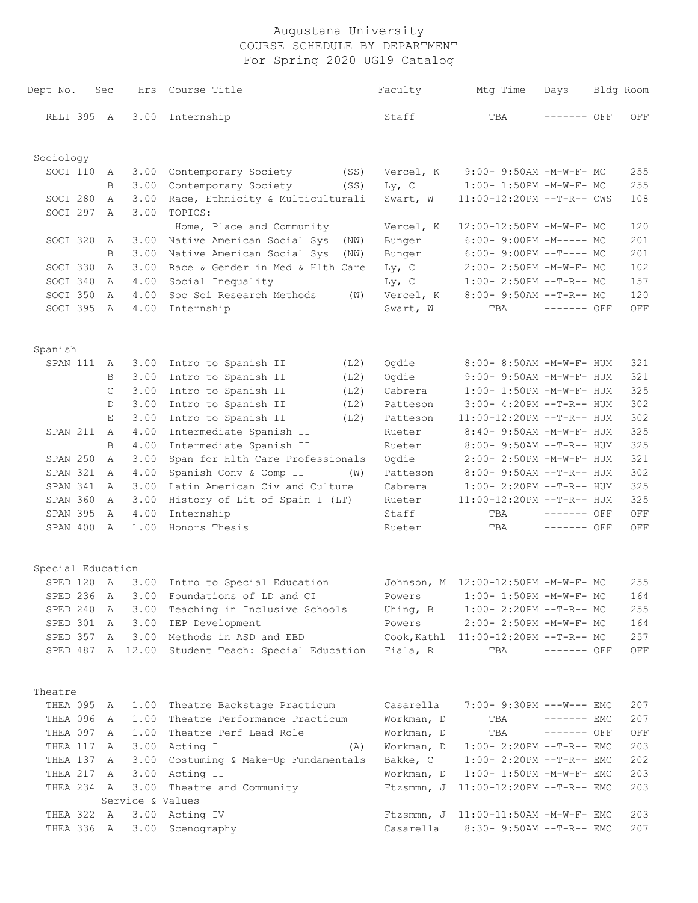| Dept No.          | Sec          | Hrs              | Course Title                                               | Faculty    | Mtg Time                               | Days         | Bldg Room          |
|-------------------|--------------|------------------|------------------------------------------------------------|------------|----------------------------------------|--------------|--------------------|
| RELI 395 A        |              | 3.00             | Internship                                                 | Staff      | TBA                                    | ------- OFF  | OFF                |
| Sociology         |              |                  |                                                            |            |                                        |              |                    |
| SOCI 110          | A            | 3.00             | Contemporary Society<br>(SS)                               | Vercel, K  | 9:00- 9:50AM -M-W-F- MC                |              | 255                |
|                   | B            | 3.00             | Contemporary Society<br>(SS)                               | $Ly$ , C   | 1:00- 1:50PM -M-W-F- MC                |              | 255                |
| SOCI 280          | A            | 3.00             | Race, Ethnicity & Multiculturali                           | Swart, W   | 11:00-12:20PM --T-R-- CWS              |              | 108                |
| SOCI 297          | A            | 3.00             | TOPICS:                                                    |            |                                        |              |                    |
|                   |              |                  | Home, Place and Community                                  | Vercel, K  | 12:00-12:50PM -M-W-F- MC               |              | 120                |
| SOCI 320          | A            | 3.00             | Native American Social Sys<br>(NW)                         | Bunger     | $6:00-9:00PM -M----- MC$               |              | 201                |
|                   | B            | 3.00             | Native American Social Sys<br>(NW)                         | Bunger     | $6:00-9:00PM --T---MC$                 |              | 201                |
| SOCI 330          | $\mathbb{A}$ | 3.00             | Race & Gender in Med & Hlth Care                           | $Ly$ , C   | 2:00- 2:50PM -M-W-F- MC                |              | 102                |
| SOCI 340          | $\mathbb{A}$ | 4.00             | Social Inequality                                          | $Ly$ , C   | $1:00-2:50PM -T-R--MC$                 |              | 157                |
| SOCI 350          | A            | 4.00             | Soc Sci Research Methods<br>(W)                            | Vercel, K  | 8:00- 9:50AM --T-R-- MC                |              | 120                |
| SOCI 395          | A            | 4.00             | Internship                                                 | Swart, W   | TBA                                    | ------- OFF  | OFF                |
| Spanish           |              |                  |                                                            |            |                                        |              |                    |
| SPAN 111          | A            | 3.00             | Intro to Spanish II<br>(L2)                                | Ogdie      | 8:00- 8:50AM -M-W-F- HUM               |              | 321                |
|                   | B            | 3.00             | Intro to Spanish II<br>(L2)                                | Ogdie      | 9:00- 9:50AM -M-W-F- HUM               |              | 321                |
|                   | $\mathsf{C}$ | 3.00             | Intro to Spanish II<br>(L2)                                | Cabrera    | $1:00-1:50PM -M-W-F- HUM$              |              | 325                |
|                   | D            | 3.00             | Intro to Spanish II<br>(L2)                                | Patteson   | 3:00- 4:20PM --T-R-- HUM               |              | 302                |
|                   | E            | 3.00             | Intro to Spanish II<br>(L2)                                | Patteson   | $11:00-12:20PM$ --T-R-- HUM            |              | 302                |
| SPAN 211          | A            | 4.00             | Intermediate Spanish II                                    | Rueter     | 8:40- 9:50AM -M-W-F- HUM               |              | 325                |
|                   | $\mathbf B$  | 4.00             | Intermediate Spanish II                                    | Rueter     | 8:00- 9:50AM --T-R-- HUM               |              | 325                |
| SPAN 250          | A            | 3.00             | Span for Hlth Care Professionals                           | Ogdie      | 2:00- 2:50PM -M-W-F- HUM               |              | 321                |
| SPAN 321          | A            | 4.00             | Spanish Conv & Comp II<br>(W)                              | Patteson   | 8:00- 9:50AM --T-R-- HUM               |              | 302                |
| SPAN 341          | A            | 3.00             | Latin American Civ and Culture                             | Cabrera    | $1:00-2:20PM -T-R--HUM$                |              | 325                |
| SPAN 360          | A            | 3.00             | History of Lit of Spain I (LT)                             | Rueter     | 11:00-12:20PM --T-R-- HUM              |              | 325                |
| SPAN 395          | A            | 4.00             | Internship                                                 | Staff      | TBA                                    | $------$ OFF | OFF                |
| SPAN 400          | A            | 1.00             | Honors Thesis                                              | Rueter     | TBA                                    | $------$ OFF | OFF                |
| Special Education |              |                  |                                                            |            |                                        |              |                    |
| SPED 120 A        |              |                  | 3.00 Intro to Special Education                            |            | Johnson, M 12:00-12:50PM -M-W-F- MC    |              | 255                |
|                   |              |                  | SPED 236 A 3.00 Foundations of LD and CI                   |            | Powers 1:00- 1:50PM -M-W-F- MC         |              | 164                |
| SPED 240          | A            | 3.00             | Teaching in Inclusive Schools                              | Uhing, B   | $1:00-2:20PM -T-R--MC$                 |              | 255                |
| SPED 301 A        |              |                  | 3.00 IEP Development                                       | Powers     | 2:00- 2:50PM -M-W-F- MC                |              | 164                |
| SPED 357 A        |              |                  | 3.00 Methods in ASD and EBD                                |            | Cook, Kathl 11:00-12:20PM --T-R-- MC   |              | 257                |
|                   |              |                  | SPED 487 A 12.00 Student Teach: Special Education Fiala, R |            | TBA                                    | $------$ OFF | OFF                |
| Theatre           |              |                  |                                                            |            |                                        |              |                    |
| THEA 095 A        |              |                  | 1.00 Theatre Backstage Practicum                           | Casarella  | 7:00- 9:30PM ---W--- EMC               |              | 207                |
| THEA 096 A        |              |                  | 1.00 Theatre Performance Practicum                         | Workman, D | TBA                                    | $------$ EMC | 207                |
| THEA 097 A        |              |                  | 1.00 Theatre Perf Lead Role                                | Workman, D | TBA                                    | $------$ OFF | $\mathop{\rm OFF}$ |
| THEA 117          | A            |                  | 3.00 Acting I<br>(A)                                       | Workman, D | $1:00-2:20PM -T-R--EMC$                |              | 203                |
| THEA 137          | A            |                  | 3.00 Costuming & Make-Up Fundamentals                      | Bakke, C   | $1:00-2:20PM -T-R--EMC$                |              | 202                |
| THEA 217 A        |              |                  | 3.00 Acting II                                             | Workman, D | $1:00-1:50PM -M-W-F-EMC$               |              | 203                |
| THEA 234 A        |              |                  | 3.00 Theatre and Community                                 |            | Ftzsmmn, J $11:00-12:20PM -T-R--EMC$   |              | 203                |
|                   |              | Service & Values |                                                            |            |                                        |              |                    |
| THEA 322 A        |              |                  | 3.00 Acting IV                                             |            | Ftzsmmn, J $11:00-11:50AM$ -M-W-F- EMC |              | 203                |
| THEA 336 A        |              |                  | 3.00 Scenography                                           | Casarella  | $8:30 - 9:50AM -T-R--EMC$              |              | 207                |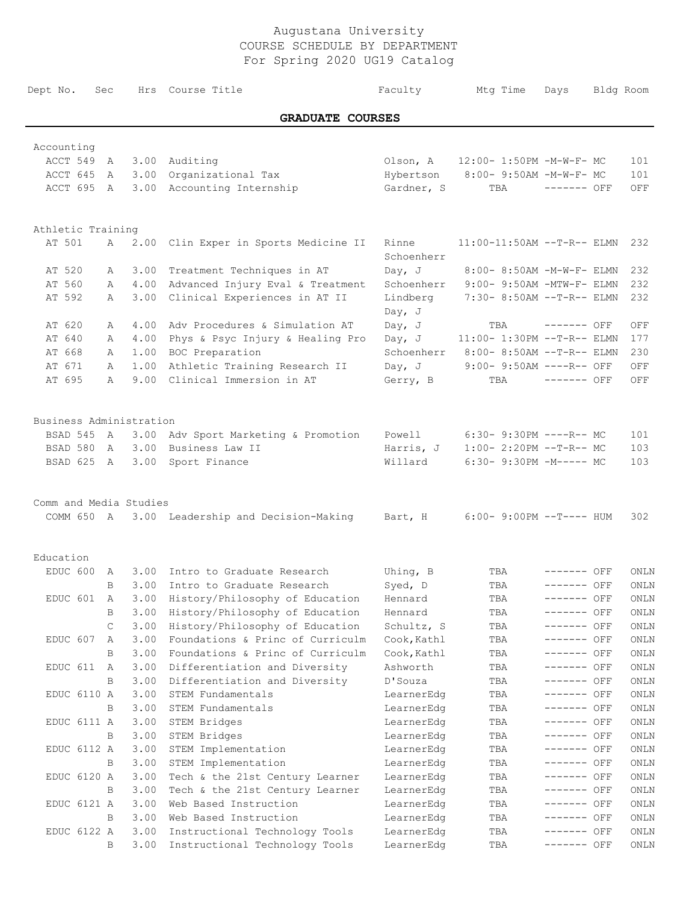| Dept No. Sec             |   |      | Hrs Course Title                               |                      | Faculty Mtg Time                  | Days         | Bldg Room |
|--------------------------|---|------|------------------------------------------------|----------------------|-----------------------------------|--------------|-----------|
|                          |   |      | <b>GRADUATE COURSES</b>                        |                      |                                   |              |           |
|                          |   |      |                                                |                      |                                   |              |           |
| Accounting<br>ACCT 549 A |   |      | 3.00 Auditing                                  |                      | Olson, A 12:00- 1:50PM -M-W-F- MC |              | 101       |
| ACCT 645 A               |   |      | 3.00 Organizational Tax                        |                      | Hybertson 8:00- 9:50AM -M-W-F- MC |              | 101       |
| ACCT 695 A               |   |      | 3.00 Accounting Internship                     | Gardner, S           | TBA                               | ------- OFF  | OFF       |
|                          |   |      |                                                |                      |                                   |              |           |
| Athletic Training        |   |      |                                                |                      |                                   |              |           |
| AT 501                   | A |      | 2.00 Clin Exper in Sports Medicine II          | Rinne<br>Schoenherr  | $11:00-11:50AM$ --T-R-- ELMN      |              | 232       |
| AT 520                   | А |      | 3.00 Treatment Techniques in AT                | Day, $J$             | 8:00- 8:50AM -M-W-F- ELMN         |              | 232       |
| AT 560                   | А |      | 4.00 Advanced Injury Eval & Treatment          | Schoenherr           | 9:00- 9:50AM -MTW-F- ELMN         |              | 232       |
| AT 592                   | A |      | 3.00 Clinical Experiences in AT II             | Lindberg<br>Day, $J$ | 7:30- 8:50AM --T-R-- ELMN         |              | 232       |
| AT 620                   | А |      | 4.00 Adv Procedures & Simulation AT            | Dav, J               | TBA                               | ------- OFF  | OFF       |
| AT 640                   | А | 4.00 | Phys & Psyc Injury & Healing Pro               | Day, J               | $11:00-1:30PM -T-R--ELMN$         |              | 177       |
| AT 668                   | A | 1.00 | BOC Preparation                                | Schoenherr           | 8:00- 8:50AM --T-R-- ELMN         |              | 230       |
| AT 671                   | A | 1.00 | Athletic Training Research II                  | Day, J               | 9:00- 9:50AM ----R-- OFF          |              | OFF       |
| AT 695                   | A | 9.00 | Clinical Immersion in AT                       | Gerry, B             | TBA                               | $------$ OFF | OFF       |
| Business Administration  |   |      |                                                |                      |                                   |              |           |
| BSAD 545 A               |   |      | 3.00 Adv Sport Marketing & Promotion           | Powell               | 6:30- 9:30PM ----R-- MC           |              | 101       |
| BSAD 580 A               |   |      | 3.00 Business Law II                           | Harris, J            | $1:00-2:20PM -T-R--MC$            |              | 103       |
| BSAD 625 A               |   |      | 3.00 Sport Finance                             | Willard              | $6:30-9:30PM -M--- MC$            |              | 103       |
| Comm and Media Studies   |   |      |                                                |                      |                                   |              |           |
|                          |   |      | COMM 650 A 3.00 Leadership and Decision-Making | Bart, H              | $6:00-9:00PM --T---HUM$           |              | 302       |
| Education                |   |      |                                                |                      |                                   |              |           |
| EDUC 600 A               |   |      | 3.00 Intro to Graduate Research                | Uhing, B             | TBA                               | $------$ OFF | ONLN      |
|                          | B |      | 3.00 Intro to Graduate Research                | Syed, D              | TBA                               | $------$ OFF | ONLN      |
| EDUC 601                 | A | 3.00 | History/Philosophy of Education                | Hennard              | TBA                               | ------- OFF  | ONLN      |
|                          | B | 3.00 | History/Philosophy of Education                | Hennard              | TBA                               | ------- OFF  | ONLN      |
|                          | C | 3.00 | History/Philosophy of Education                | Schultz, S           | TBA                               | ------- OFF  | ONLN      |
| EDUC 607                 | А | 3.00 | Foundations & Princ of Curriculm               | Cook, Kathl          | TBA                               | ------- OFF  | ONLN      |
|                          | B | 3.00 | Foundations & Princ of Curriculm               | Cook, Kathl          | TBA                               | ------- OFF  | ONLN      |
| EDUC 611                 | A | 3.00 | Differentiation and Diversity                  | Ashworth             | TBA                               | ------- OFF  | ONLN      |
|                          | B | 3.00 | Differentiation and Diversity                  | D'Souza              | TBA                               | ------- OFF  | ONLN      |
| EDUC 6110 A              |   | 3.00 | STEM Fundamentals                              | LearnerEdg           | TBA                               | ------- OFF  | ONLN      |
|                          | B | 3.00 | STEM Fundamentals                              | LearnerEdg           | TBA                               | ------- OFF  | ONLN      |
| EDUC 6111 A              |   | 3.00 | STEM Bridges                                   | LearnerEdg           | TBA                               | ------- OFF  | ONLN      |
|                          | B | 3.00 | STEM Bridges                                   | LearnerEdg           | TBA                               | ------- OFF  | ONLN      |
| EDUC 6112 A              |   | 3.00 | STEM Implementation                            | LearnerEdg           | TBA                               | ------- OFF  | ONLN      |
|                          | B | 3.00 | STEM Implementation                            | LearnerEdg           | TBA                               | ------- OFF  | ONLN      |
| EDUC 6120 A              |   | 3.00 | Tech & the 21st Century Learner                | LearnerEdg           | TBA                               | ------- OFF  | ONLN      |
|                          | B | 3.00 | Tech & the 21st Century Learner                | LearnerEdg           | TBA                               | ------- OFF  | ONLN      |
| EDUC 6121 A              |   | 3.00 | Web Based Instruction                          | LearnerEdg           | TBA                               | ------- OFF  | ONLN      |
|                          | B | 3.00 | Web Based Instruction                          | LearnerEdg           | TBA                               | ------- OFF  | ONLN      |
| EDUC 6122 A              |   | 3.00 | Instructional Technology Tools                 | LearnerEdg           | TBA                               | ------- OFF  | ONLN      |
|                          | B | 3.00 | Instructional Technology Tools                 | LearnerEdg           | TBA                               | ------- OFF  | ONLN      |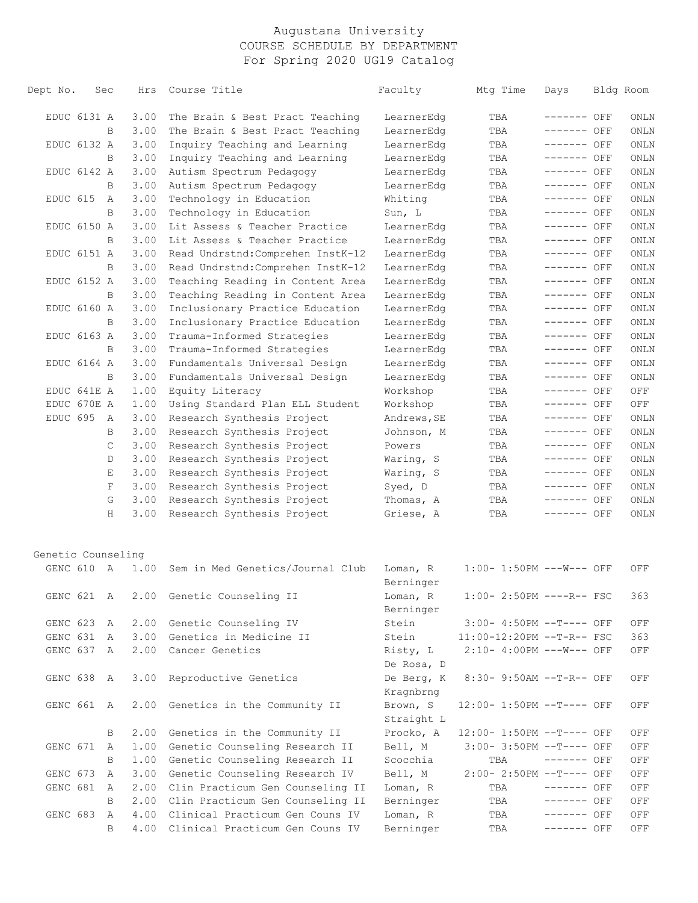| Dept No.           | Sec | Hrs  | Course Title                          | Faculty                 | Mtg Time                    | Days         | Bldg Room |
|--------------------|-----|------|---------------------------------------|-------------------------|-----------------------------|--------------|-----------|
| EDUC 6131 A        |     | 3.00 | The Brain & Best Pract Teaching       | LearnerEdg              | TBA                         | ------- OFF  | ONLN      |
|                    | B   | 3.00 | The Brain & Best Pract Teaching       | LearnerEdg              | TBA                         | ------- OFF  | ONLN      |
| EDUC 6132 A        |     | 3.00 | Inquiry Teaching and Learning         | LearnerEdg              | TBA                         | ------- OFF  | ONLN      |
|                    | B   | 3.00 | Inquiry Teaching and Learning         | LearnerEdg              | TBA                         | ------- OFF  | ONLN      |
| EDUC 6142 A        |     | 3.00 | Autism Spectrum Pedagogy              | LearnerEdg              | TBA                         | ------- OFF  | ONLN      |
|                    | B   | 3.00 | Autism Spectrum Pedagogy              | LearnerEdg              | TBA                         | ------- OFF  | ONLN      |
| EDUC 615           | A   | 3.00 | Technology in Education               | Whiting                 | TBA                         | ------- OFF  | ONLN      |
|                    | B   | 3.00 | Technology in Education               | Sun, L                  | TBA                         | ------- OFF  | ONLN      |
| EDUC 6150 A        |     | 3.00 | Lit Assess & Teacher Practice         | LearnerEdg              | TBA                         | ------- OFF  | ONLN      |
|                    | B   | 3.00 | Lit Assess & Teacher Practice         | LearnerEdg              | TBA                         | ------- OFF  | ONLN      |
| EDUC 6151 A        |     | 3.00 | Read Undrstnd: Comprehen InstK-12     | LearnerEdg              | TBA                         | ------- OFF  | ONLN      |
|                    | B   | 3.00 | Read Undrstnd: Comprehen InstK-12     | LearnerEdg              | TBA                         | ------- OFF  | ONLN      |
| EDUC 6152 A        |     | 3.00 | Teaching Reading in Content Area      | LearnerEdg              | TBA                         | ------- OFF  | ONLN      |
|                    | B   | 3.00 | Teaching Reading in Content Area      | LearnerEdg              | TBA                         | ------- OFF  | ONLN      |
| EDUC 6160 A        |     | 3.00 | Inclusionary Practice Education       | LearnerEdg              | TBA                         | ------- OFF  | ONLN      |
|                    | B   | 3.00 | Inclusionary Practice Education       | LearnerEdg              | TBA                         | ------- OFF  | ONLN      |
| EDUC 6163 A        |     | 3.00 | Trauma-Informed Strategies            | LearnerEdg              | TBA                         | ------- OFF  | ONLN      |
|                    | B   | 3.00 | Trauma-Informed Strategies            | LearnerEdg              | TBA                         | ------- OFF  | ONLN      |
| EDUC 6164 A        |     | 3.00 | Fundamentals Universal Design         | LearnerEdg              | TBA                         | ------- OFF  | ONLN      |
|                    | B   | 3.00 | Fundamentals Universal Design         | LearnerEdg              | TBA                         | ------- OFF  | ONLN      |
| EDUC 641E A        |     | 1.00 | Equity Literacy                       | Workshop                | TBA                         | ------- OFF  | OFF       |
| EDUC 670E A        |     | 1.00 | Using Standard Plan ELL Student       | Workshop                | TBA                         | ------- OFF  | OFF       |
| EDUC 695           | A   | 3.00 | Research Synthesis Project            | Andrews, SE             | TBA                         | ------- OFF  | ONLN      |
|                    | B   | 3.00 | Research Synthesis Project            | Johnson, M              | TBA                         | ------- OFF  | ONLN      |
|                    | C   | 3.00 | Research Synthesis Project            | Powers                  | TBA                         | ------- OFF  | ONLN      |
|                    | D   | 3.00 | Research Synthesis Project            | Waring, S               | TBA                         | ------- OFF  | ONLN      |
|                    | Ε   | 3.00 | Research Synthesis Project            | Waring, S               | TBA                         | ------- OFF  | ONLN      |
|                    | F   | 3.00 | Research Synthesis Project            | Syed, D                 | TBA                         | ------- OFF  | ONLN      |
|                    | G   | 3.00 | Research Synthesis Project            | Thomas, A               | TBA                         | ------- OFF  | ONLN      |
|                    | Н   | 3.00 | Research Synthesis Project            | Griese, A               | TBA                         | ------- OFF  | ONLN      |
|                    |     |      |                                       |                         |                             |              |           |
| Genetic Counseling |     |      |                                       |                         |                             |              |           |
| GENC 610 A         |     | 1.00 | Sem in Med Genetics/Journal Club      | Loman, R<br>Berninger   | $1:00-1:50PM$ ---W--- OFF   |              | OFF       |
|                    |     |      | GENC 621 A 2.00 Genetic Counseling II | Loman, R<br>Berninger   | $1:00-2:50PM$ ----R-- FSC   |              | 363       |
| GENC 623           | A   |      | 2.00 Genetic Counseling IV            | Stein                   | $3:00-4:50PM -T---$ OFF     |              | OFF       |
| GENC 631           | A   | 3.00 | Genetics in Medicine II               | Stein                   | $11:00-12:20PM$ --T-R-- FSC |              | 363       |
| GENC 637 A         |     |      | 2.00 Cancer Genetics                  | Risty, L<br>De Rosa, D  | 2:10- 4:00PM ---W--- OFF    |              | OFF       |
| GENC 638           | A   | 3.00 | Reproductive Genetics                 | De Berg, K<br>Kragnbrng | 8:30- 9:50AM --T-R-- OFF    |              | OFF       |
| GENC 661 A         |     |      | 2.00 Genetics in the Community II     | Brown, S                | 12:00- 1:50PM --T---- OFF   |              | OFF       |
|                    |     |      |                                       | Straight L              |                             |              |           |
| GENC 671           | B   | 2.00 | Genetics in the Community II          | Procko, A<br>Bell, M    | 12:00- 1:50PM --T---- OFF   |              | OFF       |
|                    | A   |      | 1.00 Genetic Counseling Research II   |                         | $3:00-3:50PM -T---$ OFF     |              | OFF       |
|                    | B   |      | 1.00 Genetic Counseling Research II   | Scocchia                | TBA                         | $------$ OFF | OFF       |
| GENC 673           | A   |      | 3.00 Genetic Counseling Research IV   | Bell, M                 | 2:00- 2:50PM --T---- OFF    |              | OFF       |
| GENC 681           | A   |      | 2.00 Clin Practicum Gen Counseling II | Loman, R                | TBA                         | ------- OFF  | OFF       |
|                    | B   |      | 2.00 Clin Practicum Gen Counseling II | Berninger               | TBA                         | ------- OFF  | OFF       |
| GENC 683           | A   |      | 4.00 Clinical Practicum Gen Couns IV  | Loman, R                | TBA                         | ------- OFF  | OFF       |
|                    | B   | 4.00 | Clinical Practicum Gen Couns IV       | Berninger               | TBA                         | ------- OFF  | OFF       |